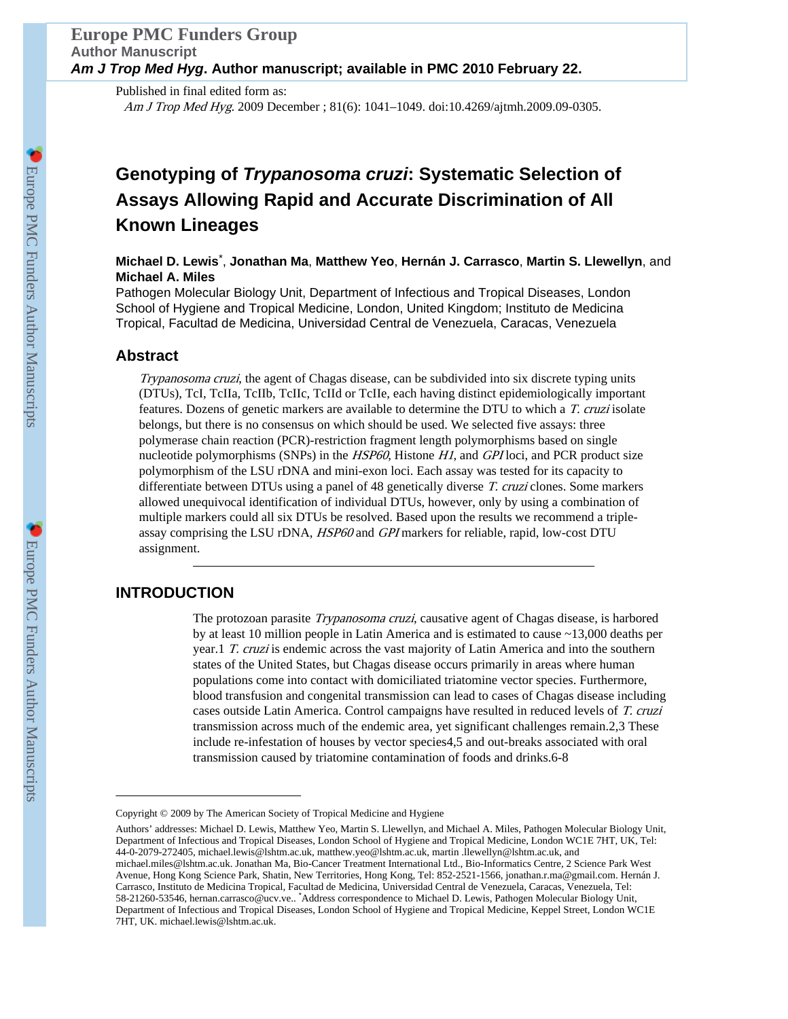Published in final edited form as: Am J Trop Med Hyg. 2009 December ; 81(6): 1041–1049. doi:10.4269/ajtmh.2009.09-0305.

# **Genotyping of** *Trypanosoma cruzi***: Systematic Selection of Assays Allowing Rapid and Accurate Discrimination of All Known Lineages**

# **Michael D. Lewis**\* , **Jonathan Ma**, **Matthew Yeo**, **Hernán J. Carrasco**, **Martin S. Llewellyn**, and **Michael A. Miles**

Pathogen Molecular Biology Unit, Department of Infectious and Tropical Diseases, London School of Hygiene and Tropical Medicine, London, United Kingdom; Instituto de Medicina Tropical, Facultad de Medicina, Universidad Central de Venezuela, Caracas, Venezuela

# **Abstract**

Trypanosoma cruzi, the agent of Chagas disease, can be subdivided into six discrete typing units (DTUs), TcI, TcIIa, TcIIb, TcIIc, TcIId or TcIIe, each having distinct epidemiologically important features. Dozens of genetic markers are available to determine the DTU to which a T. cruzi isolate belongs, but there is no consensus on which should be used. We selected five assays: three polymerase chain reaction (PCR)-restriction fragment length polymorphisms based on single nucleotide polymorphisms (SNPs) in the *HSP60*, Histone *H1*, and *GPI* loci, and PCR product size polymorphism of the LSU rDNA and mini-exon loci. Each assay was tested for its capacity to differentiate between DTUs using a panel of 48 genetically diverse T. cruzi clones. Some markers allowed unequivocal identification of individual DTUs, however, only by using a combination of multiple markers could all six DTUs be resolved. Based upon the results we recommend a tripleassay comprising the LSU rDNA, HSP60 and GPI markers for reliable, rapid, low-cost DTU assignment.

# **INTRODUCTION**

The protozoan parasite Trypanosoma cruzi, causative agent of Chagas disease, is harbored by at least 10 million people in Latin America and is estimated to cause ~13,000 deaths per year.1 T. cruzi is endemic across the vast majority of Latin America and into the southern states of the United States, but Chagas disease occurs primarily in areas where human populations come into contact with domiciliated triatomine vector species. Furthermore, blood transfusion and congenital transmission can lead to cases of Chagas disease including cases outside Latin America. Control campaigns have resulted in reduced levels of T. cruzi transmission across much of the endemic area, yet significant challenges remain.2,3 These include re-infestation of houses by vector species4,5 and out-breaks associated with oral transmission caused by triatomine contamination of foods and drinks.6-8

Copyright © 2009 by The American Society of Tropical Medicine and Hygiene

Authors' addresses: Michael D. Lewis, Matthew Yeo, Martin S. Llewellyn, and Michael A. Miles, Pathogen Molecular Biology Unit, Department of Infectious and Tropical Diseases, London School of Hygiene and Tropical Medicine, London WC1E 7HT, UK, Tel: 44-0-2079-272405, michael.lewis@lshtm.ac.uk, matthew.yeo@lshtm.ac.uk, martin .llewellyn@lshtm.ac.uk, and michael.miles@lshtm.ac.uk. Jonathan Ma, Bio-Cancer Treatment International Ltd., Bio-Informatics Centre, 2 Science Park West Avenue, Hong Kong Science Park, Shatin, New Territories, Hong Kong, Tel: 852-2521-1566, jonathan.r.ma@gmail.com. Hernán J. Carrasco, Instituto de Medicina Tropical, Facultad de Medicina, Universidad Central de Venezuela, Caracas, Venezuela, Tel: 58-21260-53546, hernan.carrasco@ucv.ve.. \*Address correspondence to Michael D. Lewis, Pathogen Molecular Biology Unit, Department of Infectious and Tropical Diseases, London School of Hygiene and Tropical Medicine, Keppel Street, London WC1E 7HT, UK. michael.lewis@lshtm.ac.uk.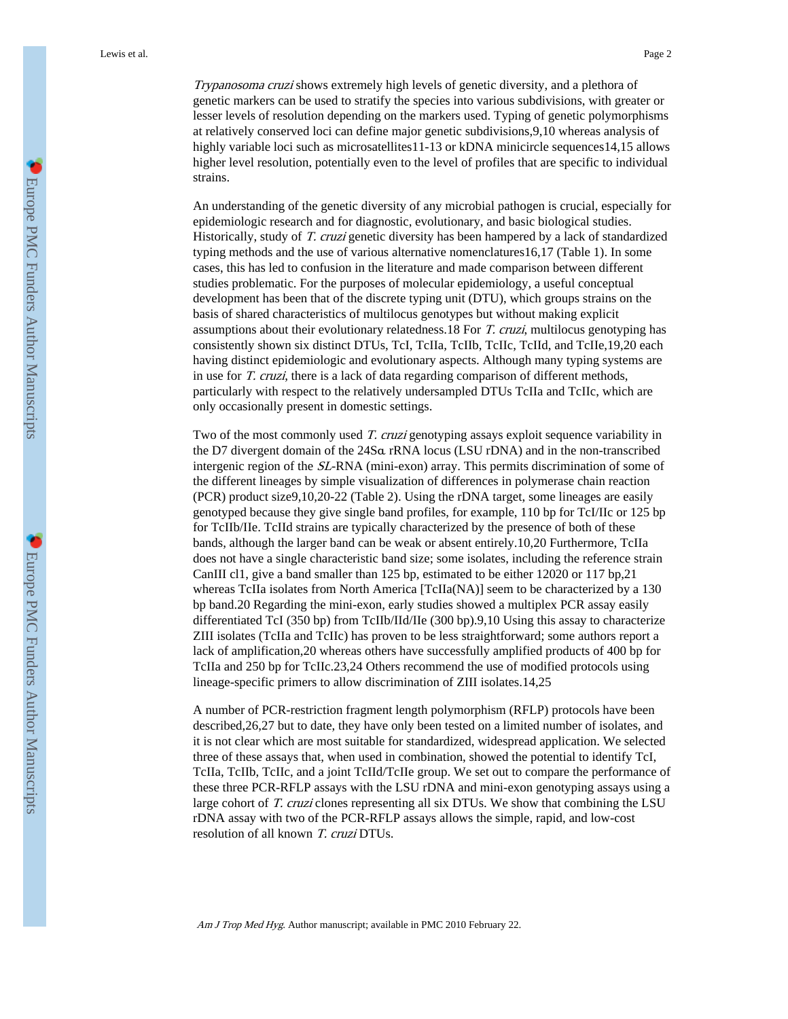Trypanosoma cruzi shows extremely high levels of genetic diversity, and a plethora of genetic markers can be used to stratify the species into various subdivisions, with greater or lesser levels of resolution depending on the markers used. Typing of genetic polymorphisms at relatively conserved loci can define major genetic subdivisions,9,10 whereas analysis of highly variable loci such as microsatellites11-13 or kDNA minicircle sequences14,15 allows higher level resolution, potentially even to the level of profiles that are specific to individual strains.

An understanding of the genetic diversity of any microbial pathogen is crucial, especially for epidemiologic research and for diagnostic, evolutionary, and basic biological studies. Historically, study of T. cruzi genetic diversity has been hampered by a lack of standardized typing methods and the use of various alternative nomenclatures16,17 (Table 1). In some cases, this has led to confusion in the literature and made comparison between different studies problematic. For the purposes of molecular epidemiology, a useful conceptual development has been that of the discrete typing unit (DTU), which groups strains on the basis of shared characteristics of multilocus genotypes but without making explicit assumptions about their evolutionary relatedness.18 For T. cruzi, multilocus genotyping has consistently shown six distinct DTUs, TcI, TcIIa, TcIIb, TcIIc, TcIId, and TcIIe,19,20 each having distinct epidemiologic and evolutionary aspects. Although many typing systems are in use for T. cruzi, there is a lack of data regarding comparison of different methods, particularly with respect to the relatively undersampled DTUs TcIIa and TcIIc, which are only occasionally present in domestic settings.

Two of the most commonly used T. cruzi genotyping assays exploit sequence variability in the D7 divergent domain of the 24Sα rRNA locus (LSU rDNA) and in the non-transcribed intergenic region of the SL-RNA (mini-exon) array. This permits discrimination of some of the different lineages by simple visualization of differences in polymerase chain reaction (PCR) product size9,10,20-22 (Table 2). Using the rDNA target, some lineages are easily genotyped because they give single band profiles, for example, 110 bp for TcI/IIc or 125 bp for TcIIb/IIe. TcIId strains are typically characterized by the presence of both of these bands, although the larger band can be weak or absent entirely.10,20 Furthermore, TcIIa does not have a single characteristic band size; some isolates, including the reference strain CanIII cl1, give a band smaller than 125 bp, estimated to be either 12020 or 117 bp,21 whereas TcIIa isolates from North America [TcIIa(NA)] seem to be characterized by a 130 bp band.20 Regarding the mini-exon, early studies showed a multiplex PCR assay easily differentiated TcI (350 bp) from TcIIb/IId/IIe (300 bp).9,10 Using this assay to characterize ZIII isolates (TcIIa and TcIIc) has proven to be less straightforward; some authors report a lack of amplification,20 whereas others have successfully amplified products of 400 bp for TcIIa and 250 bp for TcIIc.23,24 Others recommend the use of modified protocols using lineage-specific primers to allow discrimination of ZIII isolates.14,25

A number of PCR-restriction fragment length polymorphism (RFLP) protocols have been described,26,27 but to date, they have only been tested on a limited number of isolates, and it is not clear which are most suitable for standardized, widespread application. We selected three of these assays that, when used in combination, showed the potential to identify TcI, TcIIa, TcIIb, TcIIc, and a joint TcIId/TcIIe group. We set out to compare the performance of these three PCR-RFLP assays with the LSU rDNA and mini-exon genotyping assays using a large cohort of T. cruzi clones representing all six DTUs. We show that combining the LSU rDNA assay with two of the PCR-RFLP assays allows the simple, rapid, and low-cost resolution of all known T. cruzi DTUs.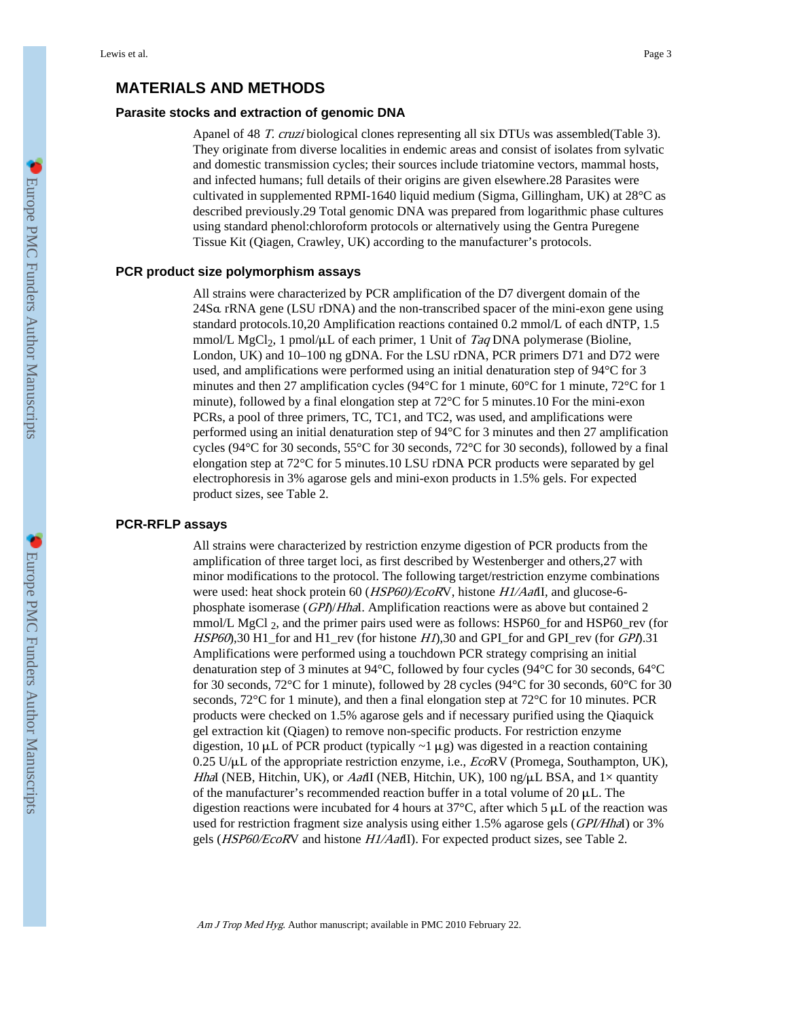## **MATERIALS AND METHODS**

#### **Parasite stocks and extraction of genomic DNA**

Apanel of 48 T. cruzi biological clones representing all six DTUs was assembled(Table 3). They originate from diverse localities in endemic areas and consist of isolates from sylvatic and domestic transmission cycles; their sources include triatomine vectors, mammal hosts, and infected humans; full details of their origins are given elsewhere.28 Parasites were cultivated in supplemented RPMI-1640 liquid medium (Sigma, Gillingham, UK) at 28°C as described previously.29 Total genomic DNA was prepared from logarithmic phase cultures using standard phenol:chloroform protocols or alternatively using the Gentra Puregene Tissue Kit (Qiagen, Crawley, UK) according to the manufacturer's protocols.

#### **PCR product size polymorphism assays**

All strains were characterized by PCR amplification of the D7 divergent domain of the 24Sα rRNA gene (LSU rDNA) and the non-transcribed spacer of the mini-exon gene using standard protocols.10,20 Amplification reactions contained 0.2 mmol/L of each dNTP, 1.5 mmol/L MgCl<sub>2</sub>, 1 pmol/ $\mu$ L of each primer, 1 Unit of *Taq* DNA polymerase (Bioline, London, UK) and 10–100 ng gDNA. For the LSU rDNA, PCR primers D71 and D72 were used, and amplifications were performed using an initial denaturation step of 94°C for 3 minutes and then 27 amplification cycles (94°C for 1 minute, 60°C for 1 minute, 72°C for 1 minute), followed by a final elongation step at 72°C for 5 minutes.10 For the mini-exon PCRs, a pool of three primers, TC, TC1, and TC2, was used, and amplifications were performed using an initial denaturation step of 94°C for 3 minutes and then 27 amplification cycles (94°C for 30 seconds, 55°C for 30 seconds, 72°C for 30 seconds), followed by a final elongation step at 72°C for 5 minutes.10 LSU rDNA PCR products were separated by gel electrophoresis in 3% agarose gels and mini-exon products in 1.5% gels. For expected product sizes, see Table 2.

#### **PCR-RFLP assays**

All strains were characterized by restriction enzyme digestion of PCR products from the amplification of three target loci, as first described by Westenberger and others,27 with minor modifications to the protocol. The following target/restriction enzyme combinations were used: heat shock protein 60 (HSP60)/EcoRV, histone H1/AatII, and glucose-6phosphate isomerase (GPI)/HhaI. Amplification reactions were as above but contained 2 mmol/L MgCl  $_2$ , and the primer pairs used were as follows: HSP60\_for and HSP60\_rev (for HSP60),30 H1 for and H1 rev (for histone H1),30 and GPI for and GPI rev (for GPI).31 Amplifications were performed using a touchdown PCR strategy comprising an initial denaturation step of 3 minutes at 94°C, followed by four cycles (94°C for 30 seconds, 64°C for 30 seconds, 72°C for 1 minute), followed by 28 cycles (94°C for 30 seconds, 60°C for 30 seconds, 72°C for 1 minute), and then a final elongation step at 72°C for 10 minutes. PCR products were checked on 1.5% agarose gels and if necessary purified using the Qiaquick gel extraction kit (Qiagen) to remove non-specific products. For restriction enzyme digestion,  $10 \mu L$  of PCR product (typically  $\sim 1 \mu$ g) was digested in a reaction containing  $0.25$  U/ $\mu$ L of the appropriate restriction enzyme, i.e., EcoRV (Promega, Southampton, UK), HhaI (NEB, Hitchin, UK), or AatII (NEB, Hitchin, UK), 100 ng/ $\mu$ L BSA, and 1× quantity of the manufacturer's recommended reaction buffer in a total volume of  $20 \mu L$ . The digestion reactions were incubated for 4 hours at  $37^{\circ}$ C, after which 5  $\mu$ L of the reaction was used for restriction fragment size analysis using either 1.5% agarose gels (*GPI/HhaI*) or 3% gels (HSP60/EcoRV and histone H1/AatII). For expected product sizes, see Table 2.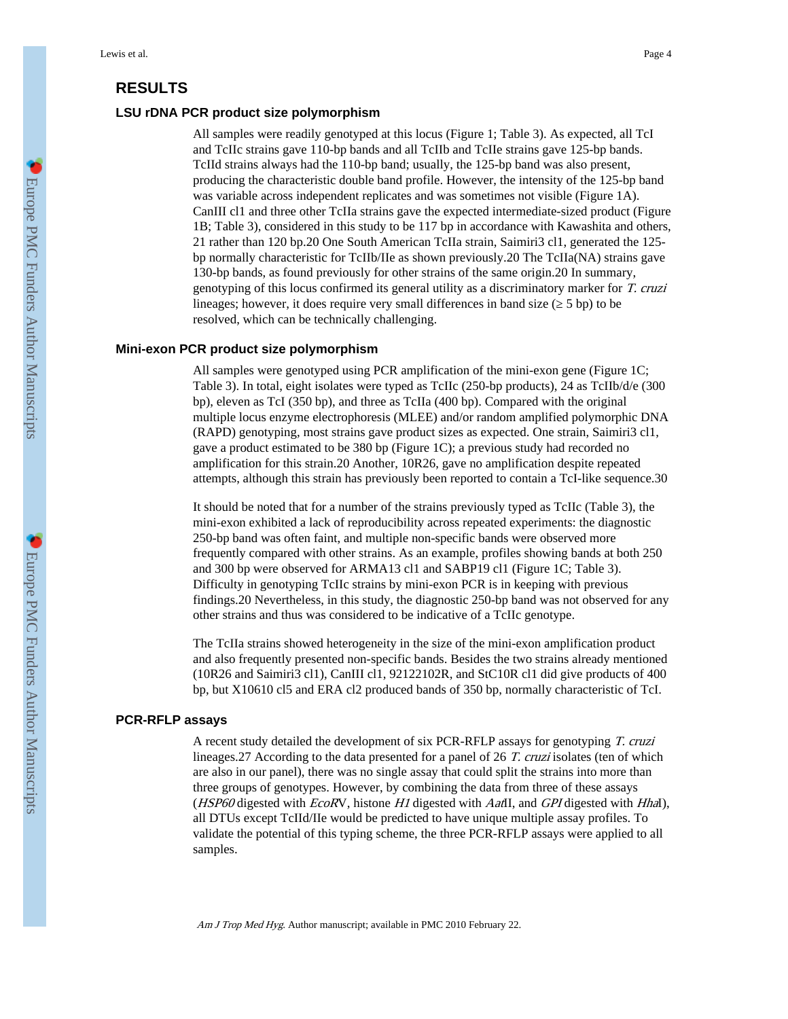# **RESULTS**

#### **LSU rDNA PCR product size polymorphism**

All samples were readily genotyped at this locus (Figure 1; Table 3). As expected, all TcI and TcIIc strains gave 110-bp bands and all TcIIb and TcIIe strains gave 125-bp bands. TcIId strains always had the 110-bp band; usually, the 125-bp band was also present, producing the characteristic double band profile. However, the intensity of the 125-bp band was variable across independent replicates and was sometimes not visible (Figure 1A). CanIII cl1 and three other TcIIa strains gave the expected intermediate-sized product (Figure 1B; Table 3), considered in this study to be 117 bp in accordance with Kawashita and others, 21 rather than 120 bp.20 One South American TcIIa strain, Saimiri3 cl1, generated the 125 bp normally characteristic for TcIIb/IIe as shown previously.20 The TcIIa(NA) strains gave 130-bp bands, as found previously for other strains of the same origin.20 In summary, genotyping of this locus confirmed its general utility as a discriminatory marker for T. cruzi lineages; however, it does require very small differences in band size (≥ 5 bp) to be resolved, which can be technically challenging.

#### **Mini-exon PCR product size polymorphism**

All samples were genotyped using PCR amplification of the mini-exon gene (Figure 1C; Table 3). In total, eight isolates were typed as TcIIc (250-bp products), 24 as TcIIb/d/e (300 bp), eleven as TcI (350 bp), and three as TcIIa (400 bp). Compared with the original multiple locus enzyme electrophoresis (MLEE) and/or random amplified polymorphic DNA (RAPD) genotyping, most strains gave product sizes as expected. One strain, Saimiri3 cl1, gave a product estimated to be 380 bp (Figure 1C); a previous study had recorded no amplification for this strain.20 Another, 10R26, gave no amplification despite repeated attempts, although this strain has previously been reported to contain a TcI-like sequence.30

It should be noted that for a number of the strains previously typed as TcIIc (Table 3), the mini-exon exhibited a lack of reproducibility across repeated experiments: the diagnostic 250-bp band was often faint, and multiple non-specific bands were observed more frequently compared with other strains. As an example, profiles showing bands at both 250 and 300 bp were observed for ARMA13 cl1 and SABP19 cl1 (Figure 1C; Table 3). Difficulty in genotyping TcIIc strains by mini-exon PCR is in keeping with previous findings.20 Nevertheless, in this study, the diagnostic 250-bp band was not observed for any other strains and thus was considered to be indicative of a TcIIc genotype.

The TcIIa strains showed heterogeneity in the size of the mini-exon amplification product and also frequently presented non-specific bands. Besides the two strains already mentioned (10R26 and Saimiri3 cl1), CanIII cl1, 92122102R, and StC10R cl1 did give products of 400 bp, but X10610 cl5 and ERA cl2 produced bands of 350 bp, normally characteristic of TcI.

#### **PCR-RFLP assays**

A recent study detailed the development of six PCR-RFLP assays for genotyping T. cruzi lineages.27 According to the data presented for a panel of 26 T. cruzi isolates (ten of which are also in our panel), there was no single assay that could split the strains into more than three groups of genotypes. However, by combining the data from three of these assays ( $HSP60$  digested with  $EcoRV$ , histone H1 digested with AatII, and GPI digested with HhaI), all DTUs except TcIId/IIe would be predicted to have unique multiple assay profiles. To validate the potential of this typing scheme, the three PCR-RFLP assays were applied to all samples.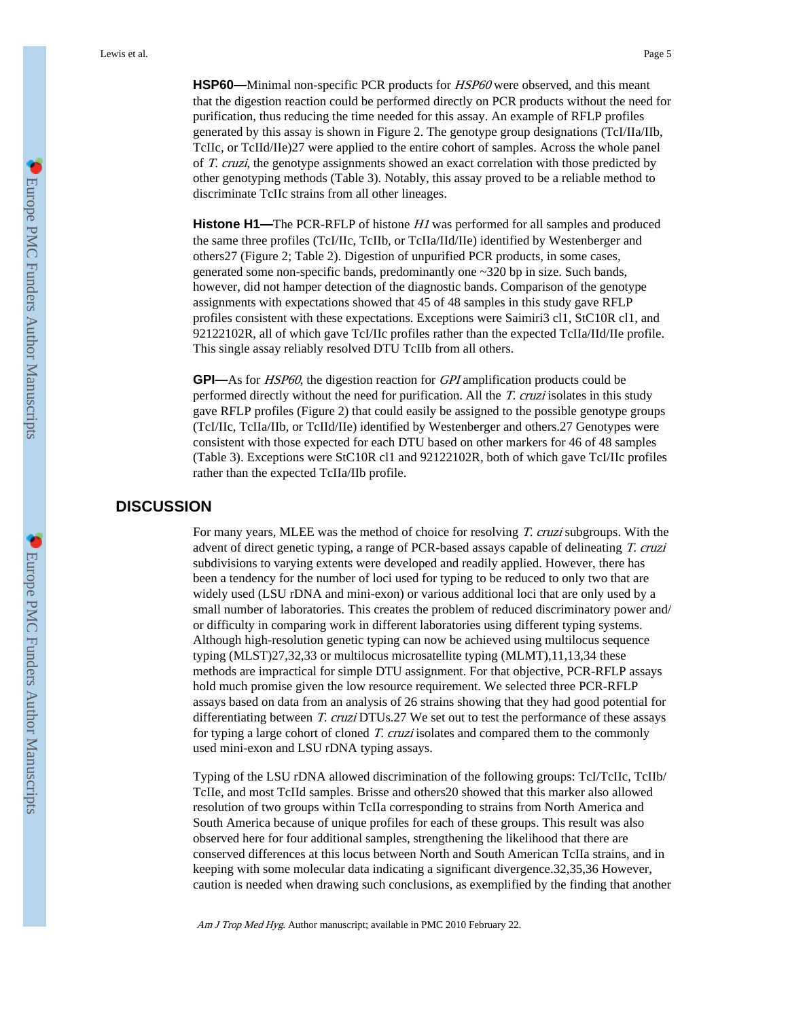**HSP60—**Minimal non-specific PCR products for HSP60 were observed, and this meant that the digestion reaction could be performed directly on PCR products without the need for purification, thus reducing the time needed for this assay. An example of RFLP profiles generated by this assay is shown in Figure 2. The genotype group designations (TcI/IIa/IIb, TcIIc, or TcIId/IIe)27 were applied to the entire cohort of samples. Across the whole panel of T. cruzi, the genotype assignments showed an exact correlation with those predicted by other genotyping methods (Table 3). Notably, this assay proved to be a reliable method to discriminate TcIIc strains from all other lineages.

**Histone H1—**The PCR-RFLP of histone H1 was performed for all samples and produced the same three profiles (TcI/IIc, TcIIb, or TcIIa/IId/IIe) identified by Westenberger and others27 (Figure 2; Table 2). Digestion of unpurified PCR products, in some cases, generated some non-specific bands, predominantly one ~320 bp in size. Such bands, however, did not hamper detection of the diagnostic bands. Comparison of the genotype assignments with expectations showed that 45 of 48 samples in this study gave RFLP profiles consistent with these expectations. Exceptions were Saimiri3 cl1, StC10R cl1, and 92122102R, all of which gave TcI/IIc profiles rather than the expected TcIIa/IId/IIe profile. This single assay reliably resolved DTU TcIIb from all others.

**GPI—**As for HSP60, the digestion reaction for GPI amplification products could be performed directly without the need for purification. All the T. cruzi isolates in this study gave RFLP profiles (Figure 2) that could easily be assigned to the possible genotype groups (TcI/IIc, TcIIa/IIb, or TcIId/IIe) identified by Westenberger and others.27 Genotypes were consistent with those expected for each DTU based on other markers for 46 of 48 samples (Table 3). Exceptions were StC10R cl1 and 92122102R, both of which gave TcI/IIc profiles rather than the expected TcIIa/IIb profile.

## **DISCUSSION**

For many years, MLEE was the method of choice for resolving T. cruzi subgroups. With the advent of direct genetic typing, a range of PCR-based assays capable of delineating T. cruzi subdivisions to varying extents were developed and readily applied. However, there has been a tendency for the number of loci used for typing to be reduced to only two that are widely used (LSU rDNA and mini-exon) or various additional loci that are only used by a small number of laboratories. This creates the problem of reduced discriminatory power and/ or difficulty in comparing work in different laboratories using different typing systems. Although high-resolution genetic typing can now be achieved using multilocus sequence typing (MLST)27,32,33 or multilocus microsatellite typing (MLMT),11,13,34 these methods are impractical for simple DTU assignment. For that objective, PCR-RFLP assays hold much promise given the low resource requirement. We selected three PCR-RFLP assays based on data from an analysis of 26 strains showing that they had good potential for differentiating between T. cruzi DTUs.27 We set out to test the performance of these assays for typing a large cohort of cloned T. cruzi isolates and compared them to the commonly used mini-exon and LSU rDNA typing assays.

Typing of the LSU rDNA allowed discrimination of the following groups: TcI/TcIIc, TcIIb/ TcIIe, and most TcIId samples. Brisse and others20 showed that this marker also allowed resolution of two groups within TcIIa corresponding to strains from North America and South America because of unique profiles for each of these groups. This result was also observed here for four additional samples, strengthening the likelihood that there are conserved differences at this locus between North and South American TcIIa strains, and in keeping with some molecular data indicating a significant divergence.32,35,36 However, caution is needed when drawing such conclusions, as exemplified by the finding that another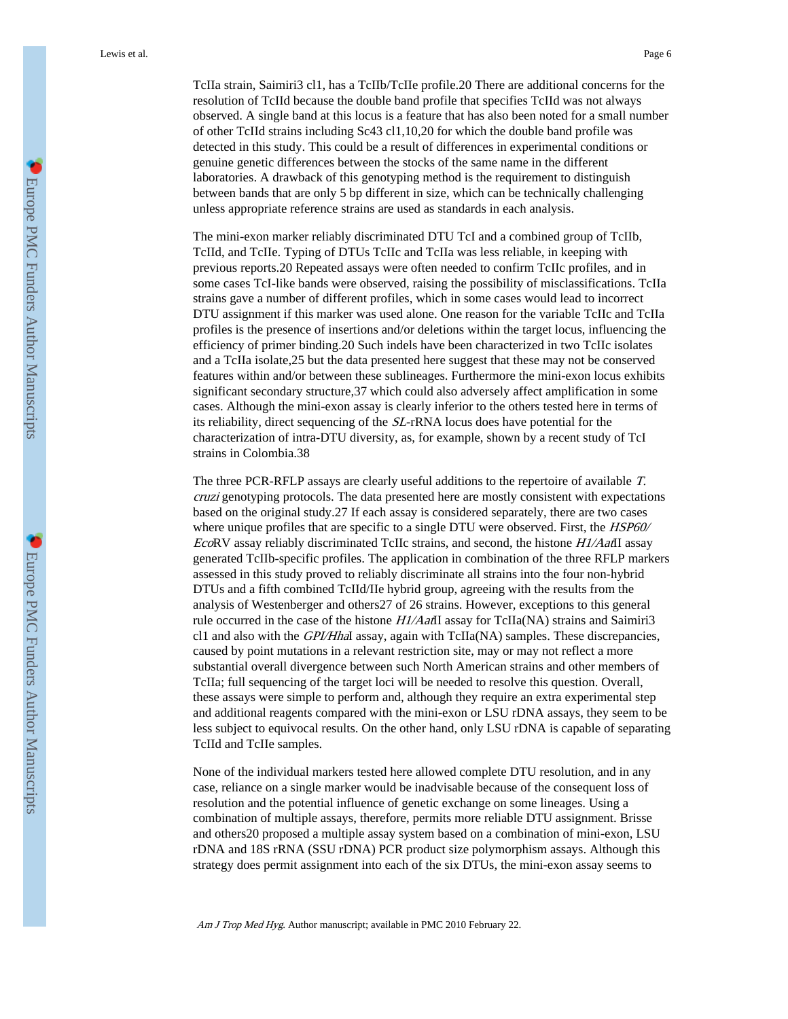TcIIa strain, Saimiri3 cl1, has a TcIIb/TcIIe profile.20 There are additional concerns for the resolution of TcIId because the double band profile that specifies TcIId was not always observed. A single band at this locus is a feature that has also been noted for a small number of other TcIId strains including Sc43 cl1,10,20 for which the double band profile was detected in this study. This could be a result of differences in experimental conditions or genuine genetic differences between the stocks of the same name in the different laboratories. A drawback of this genotyping method is the requirement to distinguish between bands that are only 5 bp different in size, which can be technically challenging unless appropriate reference strains are used as standards in each analysis.

The mini-exon marker reliably discriminated DTU TcI and a combined group of TcIIb, TcIId, and TcIIe. Typing of DTUs TcIIc and TcIIa was less reliable, in keeping with previous reports.20 Repeated assays were often needed to confirm TcIIc profiles, and in some cases TcI-like bands were observed, raising the possibility of misclassifications. TcIIa strains gave a number of different profiles, which in some cases would lead to incorrect DTU assignment if this marker was used alone. One reason for the variable TcIIc and TcIIa profiles is the presence of insertions and/or deletions within the target locus, influencing the efficiency of primer binding.20 Such indels have been characterized in two TcIIc isolates and a TcIIa isolate,25 but the data presented here suggest that these may not be conserved features within and/or between these sublineages. Furthermore the mini-exon locus exhibits significant secondary structure,37 which could also adversely affect amplification in some cases. Although the mini-exon assay is clearly inferior to the others tested here in terms of its reliability, direct sequencing of the SL-rRNA locus does have potential for the characterization of intra-DTU diversity, as, for example, shown by a recent study of TcI strains in Colombia.38

The three PCR-RFLP assays are clearly useful additions to the repertoire of available T. cruzi genotyping protocols. The data presented here are mostly consistent with expectations based on the original study.27 If each assay is considered separately, there are two cases where unique profiles that are specific to a single DTU were observed. First, the *HSP60/* EcoRV assay reliably discriminated TcIIc strains, and second, the histone  $H1/Aa\bar{t}I$  assay generated TcIIb-specific profiles. The application in combination of the three RFLP markers assessed in this study proved to reliably discriminate all strains into the four non-hybrid DTUs and a fifth combined TcIId/IIe hybrid group, agreeing with the results from the analysis of Westenberger and others27 of 26 strains. However, exceptions to this general rule occurred in the case of the histone  $H1/Aa\bar{a}I1$  assay for TcIIa(NA) strains and Saimiri3 cl1 and also with the GPI/HhaI assay, again with TcIIa(NA) samples. These discrepancies, caused by point mutations in a relevant restriction site, may or may not reflect a more substantial overall divergence between such North American strains and other members of TcIIa; full sequencing of the target loci will be needed to resolve this question. Overall, these assays were simple to perform and, although they require an extra experimental step and additional reagents compared with the mini-exon or LSU rDNA assays, they seem to be less subject to equivocal results. On the other hand, only LSU rDNA is capable of separating TcIId and TcIIe samples.

None of the individual markers tested here allowed complete DTU resolution, and in any case, reliance on a single marker would be inadvisable because of the consequent loss of resolution and the potential influence of genetic exchange on some lineages. Using a combination of multiple assays, therefore, permits more reliable DTU assignment. Brisse and others20 proposed a multiple assay system based on a combination of mini-exon, LSU rDNA and 18S rRNA (SSU rDNA) PCR product size polymorphism assays. Although this strategy does permit assignment into each of the six DTUs, the mini-exon assay seems to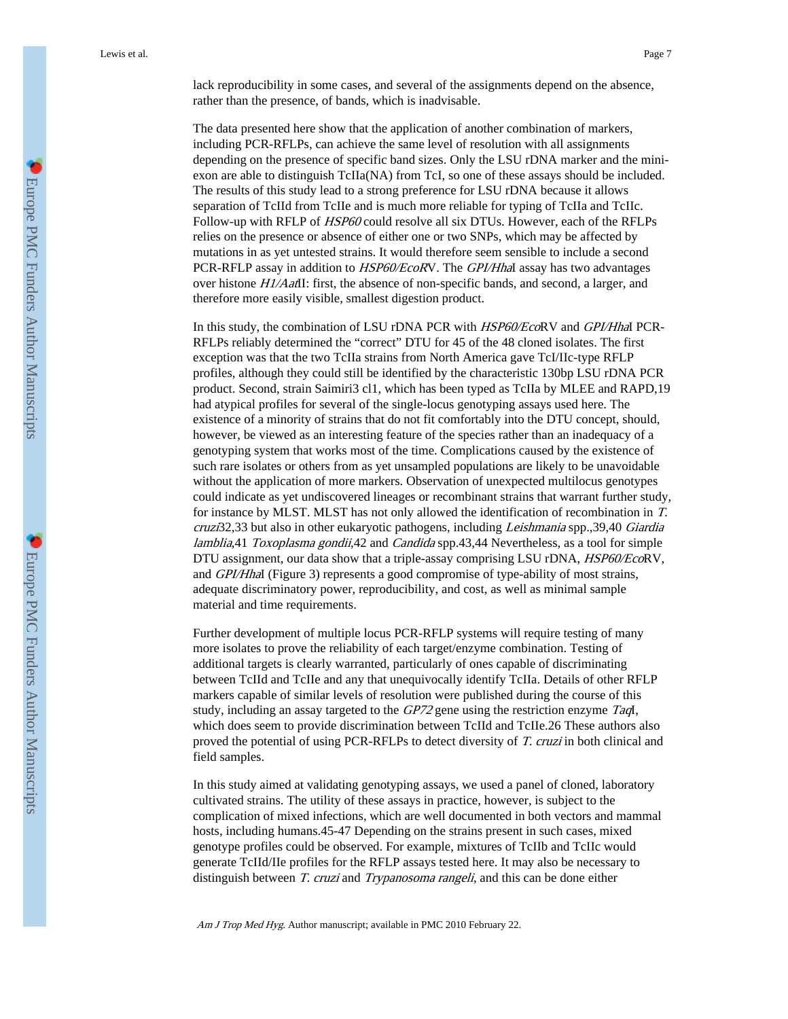lack reproducibility in some cases, and several of the assignments depend on the absence, rather than the presence, of bands, which is inadvisable.

The data presented here show that the application of another combination of markers, including PCR-RFLPs, can achieve the same level of resolution with all assignments depending on the presence of specific band sizes. Only the LSU rDNA marker and the miniexon are able to distinguish TcIIa(NA) from TcI, so one of these assays should be included. The results of this study lead to a strong preference for LSU rDNA because it allows separation of TcIId from TcIIe and is much more reliable for typing of TcIIa and TcIIc. Follow-up with RFLP of *HSP60* could resolve all six DTUs. However, each of the RFLPs relies on the presence or absence of either one or two SNPs, which may be affected by mutations in as yet untested strains. It would therefore seem sensible to include a second PCR-RFLP assay in addition to *HSP60/EcoRV*. The *GPVHhal* assay has two advantages over histone  $H1/AaAII$ : first, the absence of non-specific bands, and second, a larger, and therefore more easily visible, smallest digestion product.

In this study, the combination of LSU rDNA PCR with HSP60/EcoRV and GPI/HhaI PCR-RFLPs reliably determined the "correct" DTU for 45 of the 48 cloned isolates. The first exception was that the two TcIIa strains from North America gave TcI/IIc-type RFLP profiles, although they could still be identified by the characteristic 130bp LSU rDNA PCR product. Second, strain Saimiri3 cl1, which has been typed as TcIIa by MLEE and RAPD,19 had atypical profiles for several of the single-locus genotyping assays used here. The existence of a minority of strains that do not fit comfortably into the DTU concept, should, however, be viewed as an interesting feature of the species rather than an inadequacy of a genotyping system that works most of the time. Complications caused by the existence of such rare isolates or others from as yet unsampled populations are likely to be unavoidable without the application of more markers. Observation of unexpected multilocus genotypes could indicate as yet undiscovered lineages or recombinant strains that warrant further study, for instance by MLST. MLST has not only allowed the identification of recombination in T. cruzi32,33 but also in other eukaryotic pathogens, including Leishmania spp.,39,40 Giardia lamblia, 41 Toxoplasma gondii, 42 and Candida spp. 43, 44 Nevertheless, as a tool for simple DTU assignment, our data show that a triple-assay comprising LSU rDNA, HSP60/EcoRV, and GPI/HhaI (Figure 3) represents a good compromise of type-ability of most strains, adequate discriminatory power, reproducibility, and cost, as well as minimal sample material and time requirements.

Further development of multiple locus PCR-RFLP systems will require testing of many more isolates to prove the reliability of each target/enzyme combination. Testing of additional targets is clearly warranted, particularly of ones capable of discriminating between TcIId and TcIIe and any that unequivocally identify TcIIa. Details of other RFLP markers capable of similar levels of resolution were published during the course of this study, including an assay targeted to the GP72 gene using the restriction enzyme TaqI, which does seem to provide discrimination between TcIId and TcIIe.26 These authors also proved the potential of using PCR-RFLPs to detect diversity of T. cruzi in both clinical and field samples.

In this study aimed at validating genotyping assays, we used a panel of cloned, laboratory cultivated strains. The utility of these assays in practice, however, is subject to the complication of mixed infections, which are well documented in both vectors and mammal hosts, including humans.45-47 Depending on the strains present in such cases, mixed genotype profiles could be observed. For example, mixtures of TcIIb and TcIIc would generate TcIId/IIe profiles for the RFLP assays tested here. It may also be necessary to distinguish between *T. cruzi* and *Trypanosoma rangeli*, and this can be done either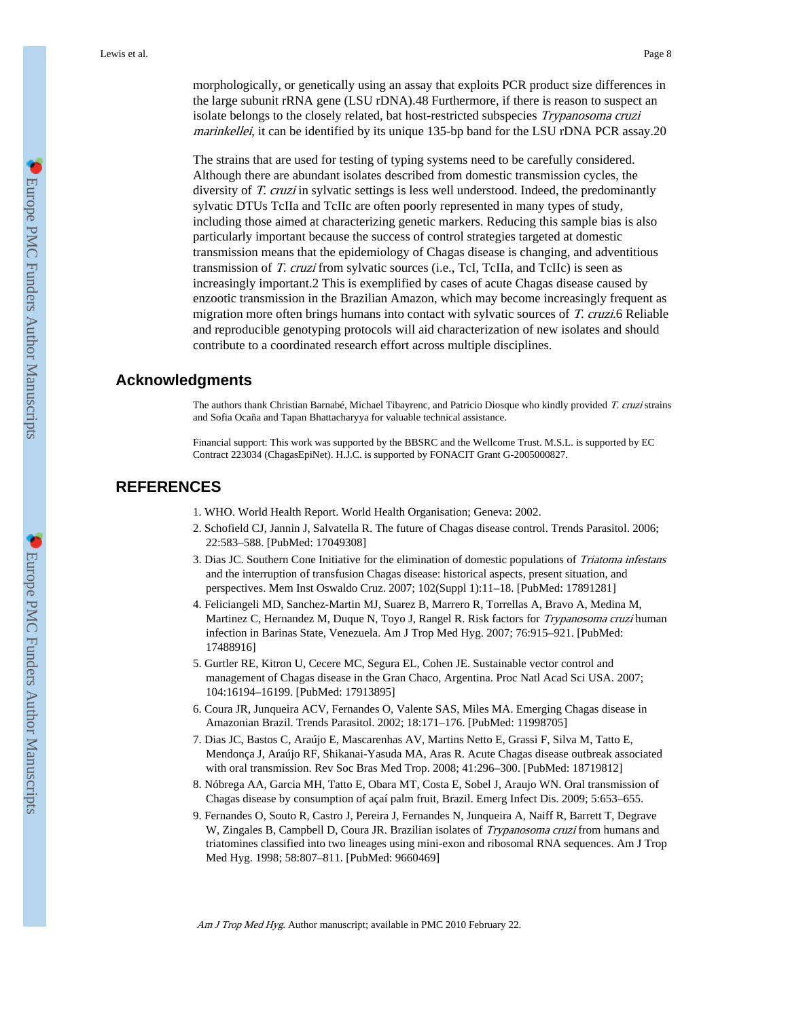morphologically, or genetically using an assay that exploits PCR product size differences in the large subunit rRNA gene (LSU rDNA).48 Furthermore, if there is reason to suspect an isolate belongs to the closely related, bat host-restricted subspecies Trypanosoma cruzi marinkellei, it can be identified by its unique 135-bp band for the LSU rDNA PCR assay.20

The strains that are used for testing of typing systems need to be carefully considered. Although there are abundant isolates described from domestic transmission cycles, the diversity of T. cruzi in sylvatic settings is less well understood. Indeed, the predominantly sylvatic DTUs TcIIa and TcIIc are often poorly represented in many types of study, including those aimed at characterizing genetic markers. Reducing this sample bias is also particularly important because the success of control strategies targeted at domestic transmission means that the epidemiology of Chagas disease is changing, and adventitious transmission of T. cruzi from sylvatic sources (i.e., TcI, TcIIa, and TcIIc) is seen as increasingly important.2 This is exemplified by cases of acute Chagas disease caused by enzootic transmission in the Brazilian Amazon, which may become increasingly frequent as migration more often brings humans into contact with sylvatic sources of T. cruzi.6 Reliable and reproducible genotyping protocols will aid characterization of new isolates and should contribute to a coordinated research effort across multiple disciplines.

### **Acknowledgments**

The authors thank Christian Barnabé, Michael Tibayrenc, and Patricio Diosque who kindly provided T. cruzi strains and Sofia Ocaña and Tapan Bhattacharyya for valuable technical assistance.

Financial support: This work was supported by the BBSRC and the Wellcome Trust. M.S.L. is supported by EC Contract 223034 (ChagasEpiNet). H.J.C. is supported by FONACIT Grant G-2005000827.

# **REFERENCES**

- 1. WHO. World Health Report. World Health Organisation; Geneva: 2002.
- 2. Schofield CJ, Jannin J, Salvatella R. The future of Chagas disease control. Trends Parasitol. 2006; 22:583–588. [PubMed: 17049308]
- 3. Dias JC. Southern Cone Initiative for the elimination of domestic populations of Triatoma infestans and the interruption of transfusion Chagas disease: historical aspects, present situation, and perspectives. Mem Inst Oswaldo Cruz. 2007; 102(Suppl 1):11–18. [PubMed: 17891281]
- 4. Feliciangeli MD, Sanchez-Martin MJ, Suarez B, Marrero R, Torrellas A, Bravo A, Medina M, Martinez C, Hernandez M, Duque N, Toyo J, Rangel R. Risk factors for *Trypanosoma cruzi* human infection in Barinas State, Venezuela. Am J Trop Med Hyg. 2007; 76:915–921. [PubMed: 17488916]
- 5. Gurtler RE, Kitron U, Cecere MC, Segura EL, Cohen JE. Sustainable vector control and management of Chagas disease in the Gran Chaco, Argentina. Proc Natl Acad Sci USA. 2007; 104:16194–16199. [PubMed: 17913895]
- 6. Coura JR, Junqueira ACV, Fernandes O, Valente SAS, Miles MA. Emerging Chagas disease in Amazonian Brazil. Trends Parasitol. 2002; 18:171–176. [PubMed: 11998705]
- 7. Dias JC, Bastos C, Araújo E, Mascarenhas AV, Martins Netto E, Grassi F, Silva M, Tatto E, Mendonça J, Araújo RF, Shikanai-Yasuda MA, Aras R. Acute Chagas disease outbreak associated with oral transmission. Rev Soc Bras Med Trop. 2008; 41:296–300. [PubMed: 18719812]
- 8. Nóbrega AA, Garcia MH, Tatto E, Obara MT, Costa E, Sobel J, Araujo WN. Oral transmission of Chagas disease by consumption of açaí palm fruit, Brazil. Emerg Infect Dis. 2009; 5:653–655.
- 9. Fernandes O, Souto R, Castro J, Pereira J, Fernandes N, Junqueira A, Naiff R, Barrett T, Degrave W, Zingales B, Campbell D, Coura JR. Brazilian isolates of Trypanosoma cruzi from humans and triatomines classified into two lineages using mini-exon and ribosomal RNA sequences. Am J Trop Med Hyg. 1998; 58:807–811. [PubMed: 9660469]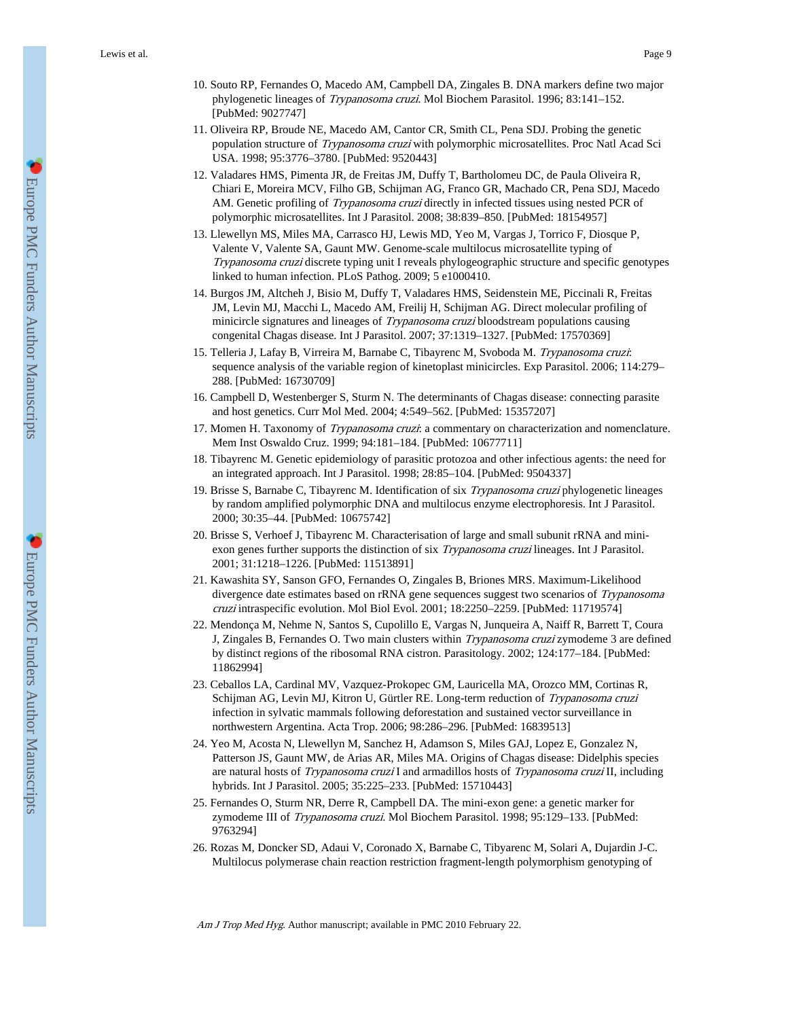- 10. Souto RP, Fernandes O, Macedo AM, Campbell DA, Zingales B. DNA markers define two major phylogenetic lineages of Trypanosoma cruzi. Mol Biochem Parasitol. 1996; 83:141-152. [PubMed: 9027747]
- 11. Oliveira RP, Broude NE, Macedo AM, Cantor CR, Smith CL, Pena SDJ. Probing the genetic population structure of Trypanosoma cruzi with polymorphic microsatellites. Proc Natl Acad Sci USA. 1998; 95:3776–3780. [PubMed: 9520443]
- 12. Valadares HMS, Pimenta JR, de Freitas JM, Duffy T, Bartholomeu DC, de Paula Oliveira R, Chiari E, Moreira MCV, Filho GB, Schijman AG, Franco GR, Machado CR, Pena SDJ, Macedo AM. Genetic profiling of *Trypanosoma cruzi* directly in infected tissues using nested PCR of polymorphic microsatellites. Int J Parasitol. 2008; 38:839–850. [PubMed: 18154957]
- 13. Llewellyn MS, Miles MA, Carrasco HJ, Lewis MD, Yeo M, Vargas J, Torrico F, Diosque P, Valente V, Valente SA, Gaunt MW. Genome-scale multilocus microsatellite typing of Trypanosoma cruzi discrete typing unit I reveals phylogeographic structure and specific genotypes linked to human infection. PLoS Pathog. 2009; 5 e1000410.
- 14. Burgos JM, Altcheh J, Bisio M, Duffy T, Valadares HMS, Seidenstein ME, Piccinali R, Freitas JM, Levin MJ, Macchi L, Macedo AM, Freilij H, Schijman AG. Direct molecular profiling of minicircle signatures and lineages of *Trypanosoma cruzi* bloodstream populations causing congenital Chagas disease. Int J Parasitol. 2007; 37:1319–1327. [PubMed: 17570369]
- 15. Telleria J, Lafay B, Virreira M, Barnabe C, Tibayrenc M, Svoboda M. Trypanosoma cruzi: sequence analysis of the variable region of kinetoplast minicircles. Exp Parasitol. 2006; 114:279– 288. [PubMed: 16730709]
- 16. Campbell D, Westenberger S, Sturm N. The determinants of Chagas disease: connecting parasite and host genetics. Curr Mol Med. 2004; 4:549–562. [PubMed: 15357207]
- 17. Momen H. Taxonomy of *Trypanosoma cruzi*: a commentary on characterization and nomenclature. Mem Inst Oswaldo Cruz. 1999; 94:181–184. [PubMed: 10677711]
- 18. Tibayrenc M. Genetic epidemiology of parasitic protozoa and other infectious agents: the need for an integrated approach. Int J Parasitol. 1998; 28:85–104. [PubMed: 9504337]
- 19. Brisse S, Barnabe C, Tibayrenc M. Identification of six Trypanosoma cruzi phylogenetic lineages by random amplified polymorphic DNA and multilocus enzyme electrophoresis. Int J Parasitol. 2000; 30:35–44. [PubMed: 10675742]
- 20. Brisse S, Verhoef J, Tibayrenc M. Characterisation of large and small subunit rRNA and miniexon genes further supports the distinction of six *Trypanosoma cruzi* lineages. Int J Parasitol. 2001; 31:1218–1226. [PubMed: 11513891]
- 21. Kawashita SY, Sanson GFO, Fernandes O, Zingales B, Briones MRS. Maximum-Likelihood divergence date estimates based on rRNA gene sequences suggest two scenarios of Trypanosoma cruzi intraspecific evolution. Mol Biol Evol. 2001; 18:2250–2259. [PubMed: 11719574]
- 22. Mendonça M, Nehme N, Santos S, Cupolillo E, Vargas N, Junqueira A, Naiff R, Barrett T, Coura J, Zingales B, Fernandes O. Two main clusters within *Trypanosoma cruzi* zymodeme 3 are defined by distinct regions of the ribosomal RNA cistron. Parasitology. 2002; 124:177–184. [PubMed: 11862994]
- 23. Ceballos LA, Cardinal MV, Vazquez-Prokopec GM, Lauricella MA, Orozco MM, Cortinas R, Schijman AG, Levin MJ, Kitron U, Gürtler RE. Long-term reduction of Trypanosoma cruzi infection in sylvatic mammals following deforestation and sustained vector surveillance in northwestern Argentina. Acta Trop. 2006; 98:286–296. [PubMed: 16839513]
- 24. Yeo M, Acosta N, Llewellyn M, Sanchez H, Adamson S, Miles GAJ, Lopez E, Gonzalez N, Patterson JS, Gaunt MW, de Arias AR, Miles MA. Origins of Chagas disease: Didelphis species are natural hosts of Trypanosoma cruzi I and armadillos hosts of Trypanosoma cruzi II, including hybrids. Int J Parasitol. 2005; 35:225–233. [PubMed: 15710443]
- 25. Fernandes O, Sturm NR, Derre R, Campbell DA. The mini-exon gene: a genetic marker for zymodeme III of Trypanosoma cruzi. Mol Biochem Parasitol. 1998; 95:129–133. [PubMed: 9763294]
- 26. Rozas M, Doncker SD, Adaui V, Coronado X, Barnabe C, Tibyarenc M, Solari A, Dujardin J-C. Multilocus polymerase chain reaction restriction fragment-length polymorphism genotyping of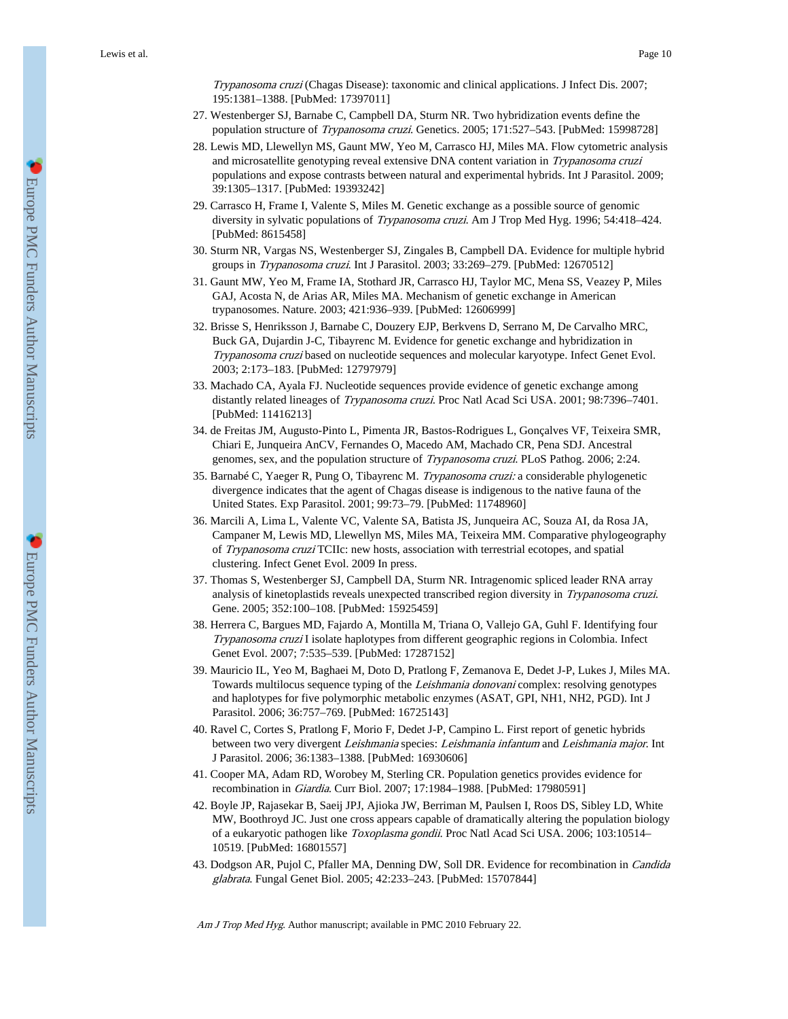Trypanosoma cruzi (Chagas Disease): taxonomic and clinical applications. J Infect Dis. 2007; 195:1381–1388. [PubMed: 17397011]

- 27. Westenberger SJ, Barnabe C, Campbell DA, Sturm NR. Two hybridization events define the population structure of Trypanosoma cruzi. Genetics. 2005; 171:527-543. [PubMed: 15998728]
- 28. Lewis MD, Llewellyn MS, Gaunt MW, Yeo M, Carrasco HJ, Miles MA. Flow cytometric analysis and microsatellite genotyping reveal extensive DNA content variation in Trypanosoma cruzi populations and expose contrasts between natural and experimental hybrids. Int J Parasitol. 2009; 39:1305–1317. [PubMed: 19393242]
- 29. Carrasco H, Frame I, Valente S, Miles M. Genetic exchange as a possible source of genomic diversity in sylvatic populations of *Trypanosoma cruzi*. Am J Trop Med Hyg. 1996; 54:418-424. [PubMed: 8615458]
- 30. Sturm NR, Vargas NS, Westenberger SJ, Zingales B, Campbell DA. Evidence for multiple hybrid groups in Trypanosoma cruzi. Int J Parasitol. 2003; 33:269-279. [PubMed: 12670512]
- 31. Gaunt MW, Yeo M, Frame IA, Stothard JR, Carrasco HJ, Taylor MC, Mena SS, Veazey P, Miles GAJ, Acosta N, de Arias AR, Miles MA. Mechanism of genetic exchange in American trypanosomes. Nature. 2003; 421:936–939. [PubMed: 12606999]
- 32. Brisse S, Henriksson J, Barnabe C, Douzery EJP, Berkvens D, Serrano M, De Carvalho MRC, Buck GA, Dujardin J-C, Tibayrenc M. Evidence for genetic exchange and hybridization in Trypanosoma cruzi based on nucleotide sequences and molecular karyotype. Infect Genet Evol. 2003; 2:173–183. [PubMed: 12797979]
- 33. Machado CA, Ayala FJ. Nucleotide sequences provide evidence of genetic exchange among distantly related lineages of Trypanosoma cruzi. Proc Natl Acad Sci USA. 2001; 98:7396-7401. [PubMed: 11416213]
- 34. de Freitas JM, Augusto-Pinto L, Pimenta JR, Bastos-Rodrigues L, Gonçalves VF, Teixeira SMR, Chiari E, Junqueira AnCV, Fernandes O, Macedo AM, Machado CR, Pena SDJ. Ancestral genomes, sex, and the population structure of Trypanosoma cruzi. PLoS Pathog. 2006; 2:24.
- 35. Barnabé C, Yaeger R, Pung O, Tibayrenc M. Trypanosoma cruzi: a considerable phylogenetic divergence indicates that the agent of Chagas disease is indigenous to the native fauna of the United States. Exp Parasitol. 2001; 99:73–79. [PubMed: 11748960]
- 36. Marcili A, Lima L, Valente VC, Valente SA, Batista JS, Junqueira AC, Souza AI, da Rosa JA, Campaner M, Lewis MD, Llewellyn MS, Miles MA, Teixeira MM. Comparative phylogeography of Trypanosoma cruzi TCIIc: new hosts, association with terrestrial ecotopes, and spatial clustering. Infect Genet Evol. 2009 In press.
- 37. Thomas S, Westenberger SJ, Campbell DA, Sturm NR. Intragenomic spliced leader RNA array analysis of kinetoplastids reveals unexpected transcribed region diversity in Trypanosoma cruzi. Gene. 2005; 352:100–108. [PubMed: 15925459]
- 38. Herrera C, Bargues MD, Fajardo A, Montilla M, Triana O, Vallejo GA, Guhl F. Identifying four Trypanosoma cruzi I isolate haplotypes from different geographic regions in Colombia. Infect Genet Evol. 2007; 7:535–539. [PubMed: 17287152]
- 39. Mauricio IL, Yeo M, Baghaei M, Doto D, Pratlong F, Zemanova E, Dedet J-P, Lukes J, Miles MA. Towards multilocus sequence typing of the *Leishmania donovani* complex: resolving genotypes and haplotypes for five polymorphic metabolic enzymes (ASAT, GPI, NH1, NH2, PGD). Int J Parasitol. 2006; 36:757–769. [PubMed: 16725143]
- 40. Ravel C, Cortes S, Pratlong F, Morio F, Dedet J-P, Campino L. First report of genetic hybrids between two very divergent Leishmania species: Leishmania infantum and Leishmania major. Int J Parasitol. 2006; 36:1383–1388. [PubMed: 16930606]
- 41. Cooper MA, Adam RD, Worobey M, Sterling CR. Population genetics provides evidence for recombination in Giardia. Curr Biol. 2007; 17:1984–1988. [PubMed: 17980591]
- 42. Boyle JP, Rajasekar B, Saeij JPJ, Ajioka JW, Berriman M, Paulsen I, Roos DS, Sibley LD, White MW, Boothroyd JC. Just one cross appears capable of dramatically altering the population biology of a eukaryotic pathogen like Toxoplasma gondii. Proc Natl Acad Sci USA. 2006; 103:10514– 10519. [PubMed: 16801557]
- 43. Dodgson AR, Pujol C, Pfaller MA, Denning DW, Soll DR. Evidence for recombination in Candida glabrata. Fungal Genet Biol. 2005; 42:233–243. [PubMed: 15707844]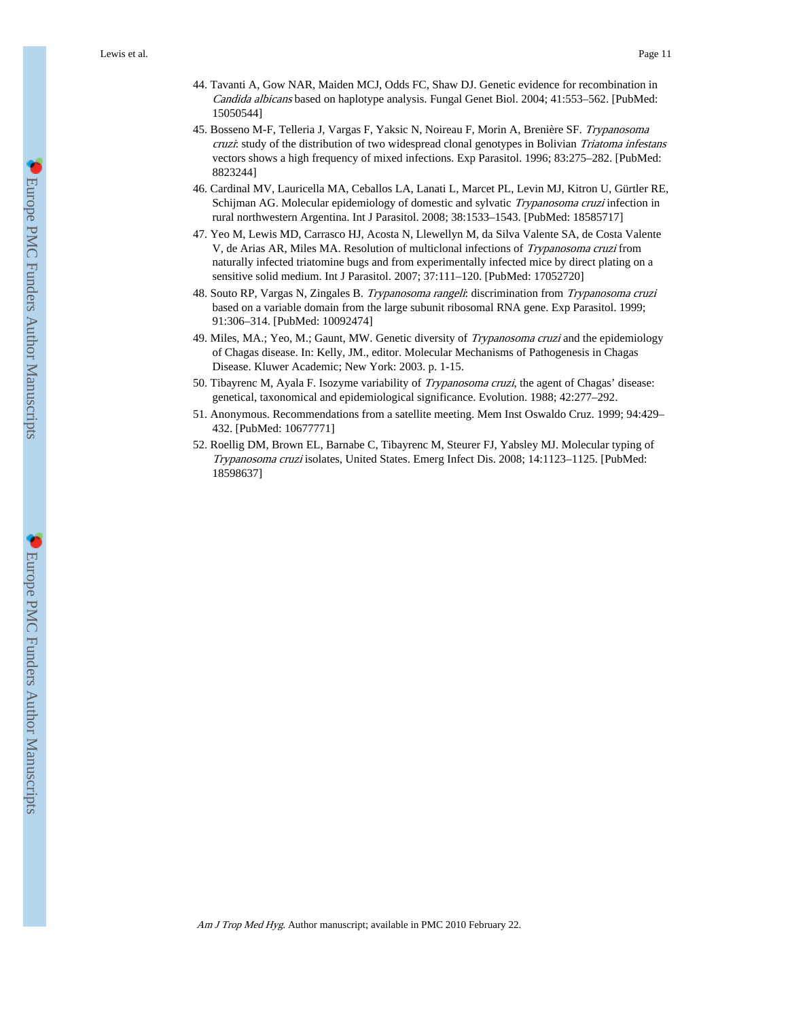- 44. Tavanti A, Gow NAR, Maiden MCJ, Odds FC, Shaw DJ. Genetic evidence for recombination in Candida albicans based on haplotype analysis. Fungal Genet Biol. 2004; 41:553–562. [PubMed: 15050544]
- 45. Bosseno M-F, Telleria J, Vargas F, Yaksic N, Noireau F, Morin A, Brenière SF. Trypanosoma cruzi: study of the distribution of two widespread clonal genotypes in Bolivian Triatoma infestans vectors shows a high frequency of mixed infections. Exp Parasitol. 1996; 83:275–282. [PubMed: 8823244]
- 46. Cardinal MV, Lauricella MA, Ceballos LA, Lanati L, Marcet PL, Levin MJ, Kitron U, Gürtler RE, Schijman AG. Molecular epidemiology of domestic and sylvatic Trypanosoma cruzi infection in rural northwestern Argentina. Int J Parasitol. 2008; 38:1533–1543. [PubMed: 18585717]
- 47. Yeo M, Lewis MD, Carrasco HJ, Acosta N, Llewellyn M, da Silva Valente SA, de Costa Valente V, de Arias AR, Miles MA. Resolution of multiclonal infections of Trypanosoma cruzi from naturally infected triatomine bugs and from experimentally infected mice by direct plating on a sensitive solid medium. Int J Parasitol. 2007; 37:111–120. [PubMed: 17052720]
- 48. Souto RP, Vargas N, Zingales B. Trypanosoma rangeli: discrimination from Trypanosoma cruzi based on a variable domain from the large subunit ribosomal RNA gene. Exp Parasitol. 1999; 91:306–314. [PubMed: 10092474]
- 49. Miles, MA.; Yeo, M.; Gaunt, MW. Genetic diversity of Trypanosoma cruzi and the epidemiology of Chagas disease. In: Kelly, JM., editor. Molecular Mechanisms of Pathogenesis in Chagas Disease. Kluwer Academic; New York: 2003. p. 1-15.
- 50. Tibayrenc M, Ayala F. Isozyme variability of Trypanosoma cruzi, the agent of Chagas' disease: genetical, taxonomical and epidemiological significance. Evolution. 1988; 42:277–292.
- 51. Anonymous. Recommendations from a satellite meeting. Mem Inst Oswaldo Cruz. 1999; 94:429– 432. [PubMed: 10677771]
- 52. Roellig DM, Brown EL, Barnabe C, Tibayrenc M, Steurer FJ, Yabsley MJ. Molecular typing of Trypanosoma cruzi isolates, United States. Emerg Infect Dis. 2008; 14:1123–1125. [PubMed: 18598637]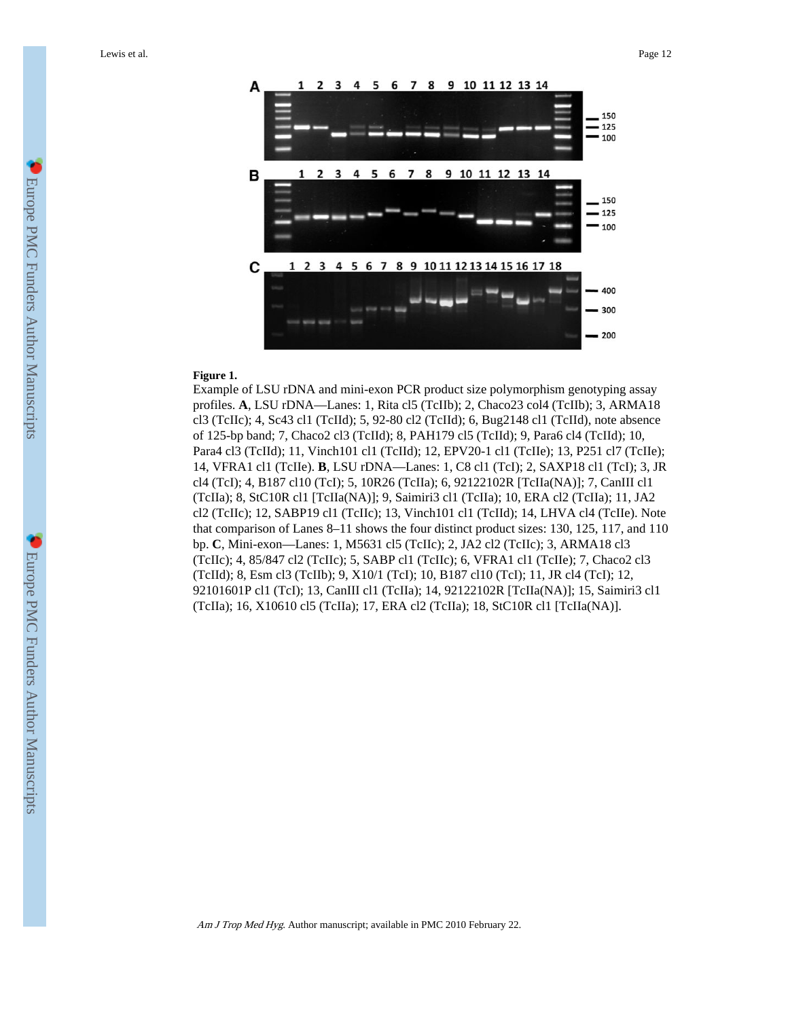

#### **Figure 1.**

Example of LSU rDNA and mini-exon PCR product size polymorphism genotyping assay profiles. A, LSU rDNA—Lanes: 1, Rita cl5 (TcIIb); 2, Chaco23 col4 (TcIIb); 3, ARMA18 cl3 (TcIIc); 4, Sc43 cl1 (TcIId); 5, 92-80 cl2 (TcIId); 6, Bug2148 cl1 (TcIId), note absence of 125-bp band; 7, Chaco2 cl3 (TcIId); 8, PAH179 cl5 (TcIId); 9, Para6 cl4 (TcIId); 10, Para4 cl3 (TcIId); 11, Vinch101 cl1 (TcIId); 12, EPV20-1 cl1 (TcIIe); 13, P251 cl7 (TcIIe); 14, VFRA1 cl1 (TcIIe). **B**, LSU rDNA—Lanes: 1, C8 cl1 (TcI); 2, SAXP18 cl1 (TcI); 3, JR cl4 (TcI); 4, B187 cl10 (TcI); 5, 10R26 (TcIIa); 6, 92122102R [TcIIa(NA)]; 7, CanIII cl1 (TcIIa); 8, StC10R cl1 [TcIIa(NA)]; 9, Saimiri3 cl1 (TcIIa); 10, ERA cl2 (TcIIa); 11, JA2 cl2 (TcIIc); 12, SABP19 cl1 (TcIIc); 13, Vinch101 cl1 (TcIId); 14, LHVA cl4 (TcIIe). Note that comparison of Lanes 8–11 shows the four distinct product sizes: 130, 125, 117, and 110 bp. **C**, Mini-exon—Lanes: 1, M5631 cl5 (TcIIc); 2, JA2 cl2 (TcIIc); 3, ARMA18 cl3 (TcIIc); 4, 85/847 cl2 (TcIIc); 5, SABP cl1 (TcIIc); 6, VFRA1 cl1 (TcIIe); 7, Chaco2 cl3 (TcIId); 8, Esm cl3 (TcIIb); 9, X10/1 (TcI); 10, B187 cl10 (TcI); 11, JR cl4 (TcI); 12, 92101601P cl1 (TcI); 13, CanIII cl1 (TcIIa); 14, 92122102R [TcIIa(NA)]; 15, Saimiri3 cl1 (TcIIa); 16, X10610 cl5 (TcIIa); 17, ERA cl2 (TcIIa); 18, StC10R cl1 [TcIIa(NA)].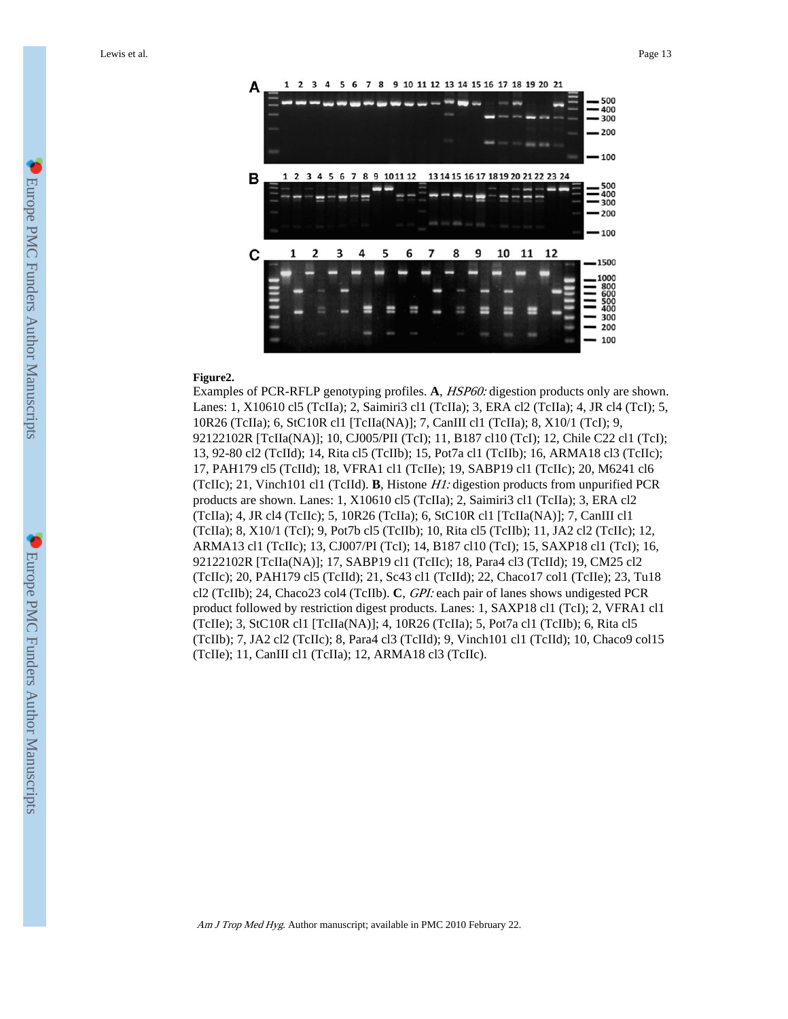

#### **Figure2.**

Examples of PCR-RFLP genotyping profiles. **A**, HSP60: digestion products only are shown. Lanes: 1, X10610 cl5 (TcIIa); 2, Saimiri3 cl1 (TcIIa); 3, ERA cl2 (TcIIa); 4, JR cl4 (TcI); 5, 10R26 (TcIIa); 6, StC10R cl1 [TcIIa(NA)]; 7, CanIII cl1 (TcIIa); 8, X10/1 (TcI); 9, 92122102R [TcIIa(NA)]; 10, CJ005/PII (TcI); 11, B187 cl10 (TcI); 12, Chile C22 cl1 (TcI); 13, 92-80 cl2 (TcIId); 14, Rita cl5 (TcIIb); 15, Pot7a cl1 (TcIIb); 16, ARMA18 cl3 (TcIIc); 17, PAH179 cl5 (TcIId); 18, VFRA1 cl1 (TcIIe); 19, SABP19 cl1 (TcIIc); 20, M6241 cl6 (TcIIc); 21, Vinch101 cl1 (TcIId). **B**, Histone H1: digestion products from unpurified PCR products are shown. Lanes: 1, X10610 cl5 (TcIIa); 2, Saimiri3 cl1 (TcIIa); 3, ERA cl2 (TcIIa); 4, JR cl4 (TcIIc); 5, 10R26 (TcIIa); 6, StC10R cl1 [TcIIa(NA)]; 7, CanIII cl1 (TcIIa); 8, X10/1 (TcI); 9, Pot7b cl5 (TcIIb); 10, Rita cl5 (TcIIb); 11, JA2 cl2 (TcIIc); 12, ARMA13 cl1 (TcIIc); 13, CJ007/PI (TcI); 14, B187 cl10 (TcI); 15, SAXP18 cl1 (TcI); 16, 92122102R [TcIIa(NA)]; 17, SABP19 cl1 (TcIIc); 18, Para4 cl3 (TcIId); 19, CM25 cl2 (TcIIc); 20, PAH179 cl5 (TcIId); 21, Sc43 cl1 (TcIId); 22, Chaco17 col1 (TcIIe); 23, Tu18 cl2 (TcIIb); 24, Chaco23 col4 (TcIIb). **C**, GPI: each pair of lanes shows undigested PCR product followed by restriction digest products. Lanes: 1, SAXP18 cl1 (TcI); 2, VFRA1 cl1 (TcIIe); 3, StC10R cl1 [TcIIa(NA)]; 4, 10R26 (TcIIa); 5, Pot7a cl1 (TcIIb); 6, Rita cl5 (TcIIb); 7, JA2 cl2 (TcIIc); 8, Para4 cl3 (TcIId); 9, Vinch101 cl1 (TcIId); 10, Chaco9 col15 (TcIIe); 11, CanIII cl1 (TcIIa); 12, ARMA18 cl3 (TcIIc).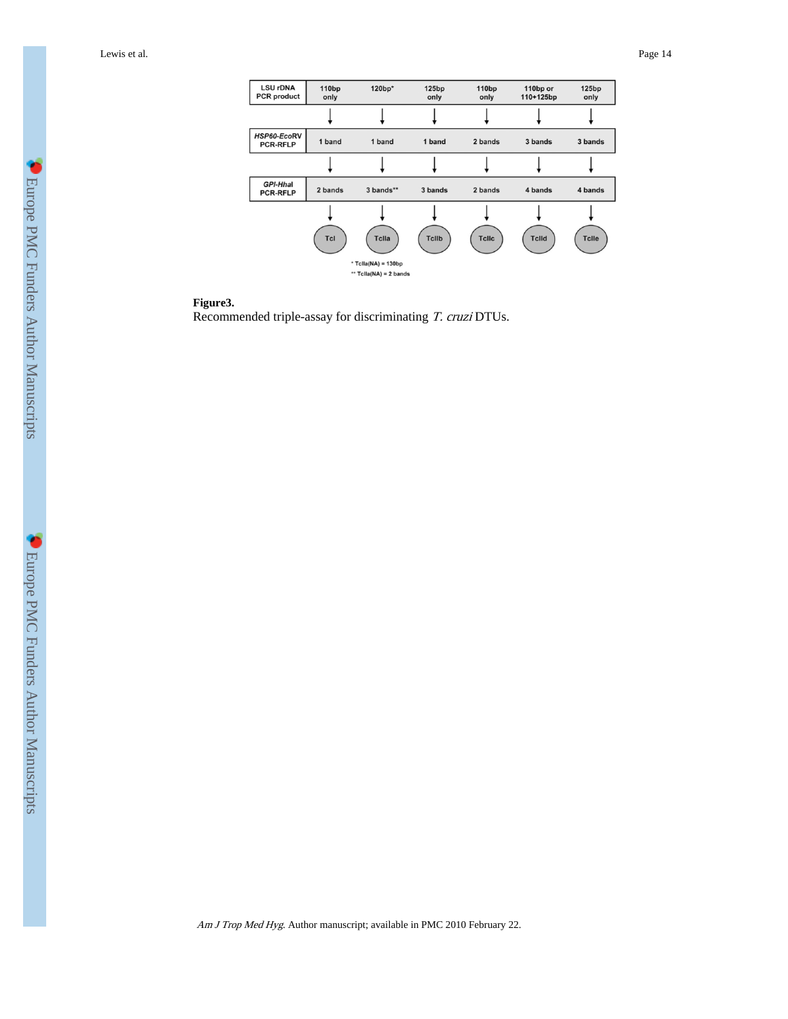| <b>LSU rDNA</b><br><b>PCR</b> product | 110 <sub>bp</sub><br>only | 120bp*                                            | 125bp<br>only | 110 <sub>bp</sub><br>only | 110bp or<br>110+125bp | 125bp<br>only |
|---------------------------------------|---------------------------|---------------------------------------------------|---------------|---------------------------|-----------------------|---------------|
|                                       |                           |                                                   |               |                           |                       |               |
| HSP60-EcoRV<br><b>PCR-RFLP</b>        | 1 band                    | 1 band                                            | 1 band        | 2 bands                   | 3 bands               | 3 bands       |
|                                       |                           |                                                   |               |                           |                       |               |
| GPI-Hhal<br><b>PCR-RFLP</b>           | 2 bands                   | 3 bands**                                         | 3 bands       | 2 bands                   | 4 bands               | 4 bands       |
|                                       |                           |                                                   |               |                           |                       |               |
|                                       | <b>Tcl</b>                | Tclla                                             | <b>Tcllb</b>  | <b>Tcllc</b>              | <b>Tclld</b>          | <b>Tclle</b>  |
|                                       |                           | * Tclla(NA) = $130bp$<br>** $Tella(NA) = 2 bands$ |               |                           |                       |               |

#### **Figure3.**

Recommended triple-assay for discriminating T. cruzi DTUs.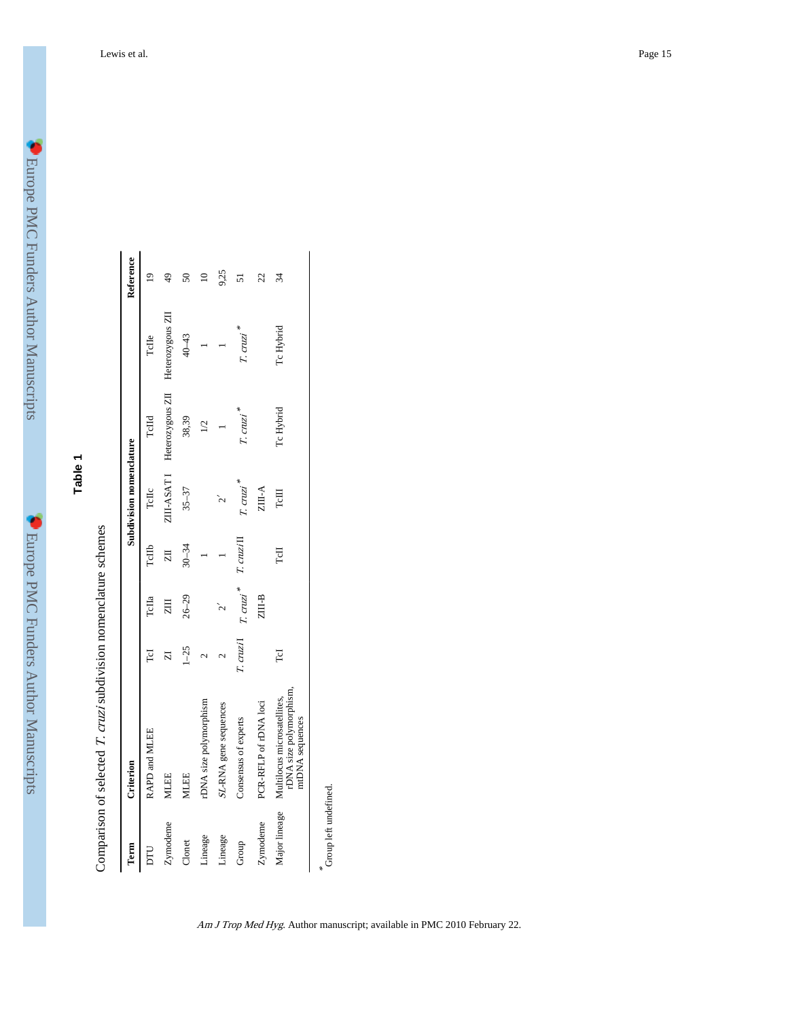| ۱                                                                                                              |
|----------------------------------------------------------------------------------------------------------------|
|                                                                                                                |
|                                                                                                                |
| $\frac{1}{2}$                                                                                                  |
| l<br>I<br>Į                                                                                                    |
| Í                                                                                                              |
|                                                                                                                |
|                                                                                                                |
|                                                                                                                |
| ļ                                                                                                              |
| ׅׅׅ֧֧֚֚֚֚֚֚֚֚֚֚֚֚֚֚֚֚֚֚֚֚֚֚֚֚֚֚֚֚֚֚֡֡֡֡֓֡֞֡֡֓֡֞֡֡֓֞֝֬                                                          |
| $\frac{1}{2}$                                                                                                  |
|                                                                                                                |
|                                                                                                                |
| j                                                                                                              |
|                                                                                                                |
| ききゅうしん                                                                                                         |
|                                                                                                                |
|                                                                                                                |
| $\overline{\phantom{a}}$                                                                                       |
|                                                                                                                |
|                                                                                                                |
|                                                                                                                |
|                                                                                                                |
|                                                                                                                |
|                                                                                                                |
|                                                                                                                |
| j                                                                                                              |
| <b>Control</b>                                                                                                 |
|                                                                                                                |
| I                                                                                                              |
| j                                                                                                              |
| I                                                                                                              |
| I                                                                                                              |
|                                                                                                                |
|                                                                                                                |
|                                                                                                                |
|                                                                                                                |
| 计算符号 医骨折<br>l                                                                                                  |
| l                                                                                                              |
|                                                                                                                |
|                                                                                                                |
| j                                                                                                              |
| in the control of the control of the control of the control of the control of the control of the control of th |
|                                                                                                                |
|                                                                                                                |
|                                                                                                                |
| i<br>1<br>I                                                                                                    |
| ripts                                                                                                          |

**Table 1**

Comparison of selected T. cruzi subdivision nomenclature schemes Comparison of selected T. cruzi subdivision nomenclature schemes

| Term                  | Criterion                                                                 |                         |                                               |                         | Subdivision nomenclature |                              |                  | Reference      |
|-----------------------|---------------------------------------------------------------------------|-------------------------|-----------------------------------------------|-------------------------|--------------------------|------------------------------|------------------|----------------|
| DLI                   | RAPD and MLEE                                                             | Гd                      | TcIIa                                         | TcIIb                   | TcIIc                    | TcHd                         | TcHe             | $\overline{ }$ |
| Zymodeme              | <b>MLEE</b>                                                               | $\overline{\mathbf{z}}$ | $\overline{z}$                                | $\overline{\mathbb{Z}}$ |                          | ZIII-ASAT I Heterozygous ZII | Heterozygous ZII | $\frac{4}{9}$  |
| Clonet                | <b>MLEE</b>                                                               | $1 - 25$                | $26 - 29$                                     | $30 - 34$               | $35 - 37$                | 38,39                        | 40-43            | $50\,$         |
| Lineage               | rDNA size polymorphism                                                    |                         |                                               |                         |                          | $\overline{2}$               |                  | ≘              |
| Lineage               | SL-RNA gene sequences                                                     | 2                       | $\sim$                                        |                         |                          |                              |                  | 9,25           |
| Group                 | Consensus of experts                                                      |                         | $T$ . cruzi $T$ . cruzi $*$ $T$ . cruzi $\Pi$ |                         | T. cruzi                 | T. cruzi <sup>*</sup>        | T. cruzi         | 51             |
| Zymodeme              | PCR-RFLP of rDNA loci                                                     |                         | ZIII-B                                        |                         | $ZIII-A$                 |                              |                  | 22             |
| Major lineage         | rDNA size polymorphism,<br>Multilocus microsatellites,<br>mtDNA sequences | ГcI                     |                                               | TсII                    | TcIII                    | Tc Hybrid                    | Tc Hybrid        | 34             |
| Group left undefined. |                                                                           |                         |                                               |                         |                          |                              |                  |                |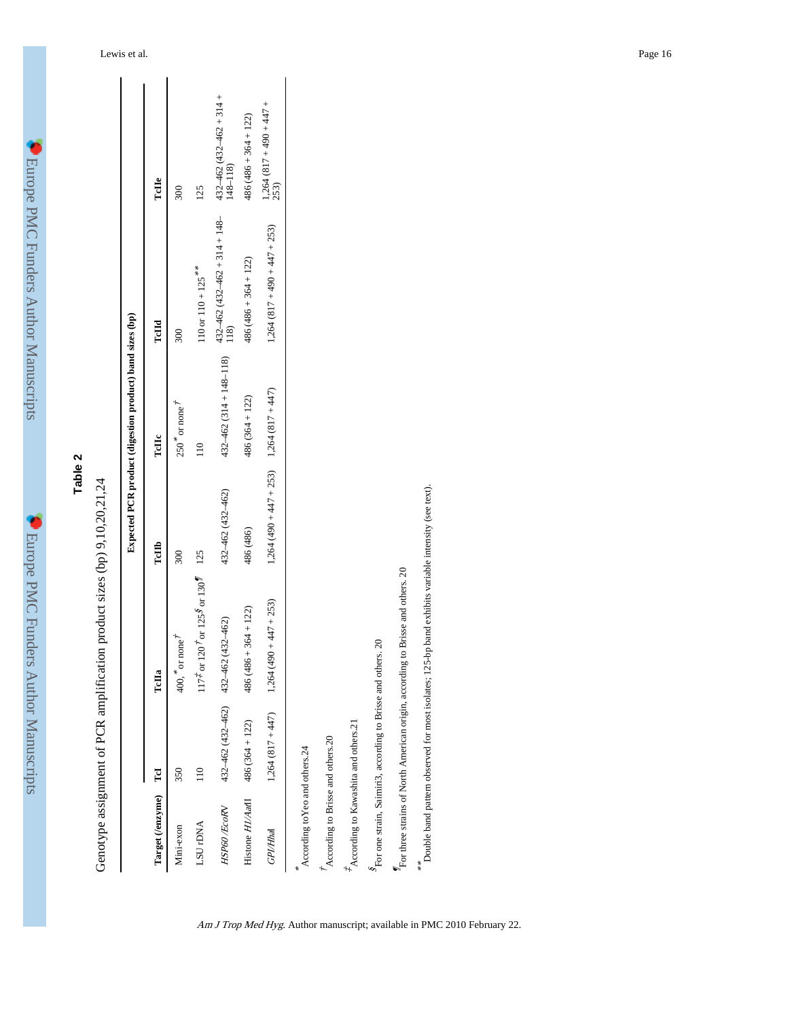| ۱<br>l                                                                                                                                                                                                                               |
|--------------------------------------------------------------------------------------------------------------------------------------------------------------------------------------------------------------------------------------|
| ļ<br>l<br>I<br>Į                                                                                                                                                                                                                     |
| Í                                                                                                                                                                                                                                    |
| 化模块 化二氧化物 医骨折的 医血管<br>l                                                                                                                                                                                                              |
| j<br>$\frac{1}{1}$                                                                                                                                                                                                                   |
|                                                                                                                                                                                                                                      |
|                                                                                                                                                                                                                                      |
|                                                                                                                                                                                                                                      |
|                                                                                                                                                                                                                                      |
| Ì<br>j                                                                                                                                                                                                                               |
|                                                                                                                                                                                                                                      |
| l                                                                                                                                                                                                                                    |
| <br> <br> <br>I                                                                                                                                                                                                                      |
| l<br>۱<br><b>CONTRACTOR</b><br>į                                                                                                                                                                                                     |
| l                                                                                                                                                                                                                                    |
| ֘֒<br>in the company of the company of the company of the company of the company of the company of the company of the company of the company of the company of the company of the company of the company of the company of the compa |
|                                                                                                                                                                                                                                      |
| l                                                                                                                                                                                                                                    |
| I<br>Ì                                                                                                                                                                                                                               |

Genotype assignment of PCR amplification product sizes (bp) 9,10,20,21,24 Genotype assignment of PCR amplification product sizes (bp) 9,10,20,21,24

|                                       |                  |                                                                                              |                                               | Expected PCR product (digestion product) band sizes (bp) |                                    |                                               |
|---------------------------------------|------------------|----------------------------------------------------------------------------------------------|-----------------------------------------------|----------------------------------------------------------|------------------------------------|-----------------------------------------------|
| Target (/enzyme) TcI                  |                  | TcHa                                                                                         | TcIIb                                         | TcЩc                                                     | TcHd                               | TcHe                                          |
| Mini-exon                             | 350              | $400,$ $\degree$ or none                                                                     | 300                                           | $250$ $\degree$ or none $\frac{1}{2}$                    | 300                                | 300                                           |
| LSU <sub>r</sub> DNA                  |                  | $117^{\frac{3}{4}}$ or $120^{\frac{3}{4}}$ or $125^{\frac{5}{8}}$ or $130^{\frac{5}{4}}$ 125 |                                               | $\frac{1}{10}$                                           | $110$ or $110 + 125$ <sup>**</sup> | 125                                           |
| HSP60 /EcoRV                          |                  | $432 - 462$ (432–462) $432 - 462$ (432–462)                                                  | 432-462 (432-462)                             | $432 - 462 (314 + 148 - 118)$                            | $432-462(432-462+314+148-118)$     | $432 - 462 (432 - 462 + 314 +$<br>$148 - 118$ |
| Histone $H1/AaH1$ 486 (364 + 122)     |                  | $486(486 + 364 + 122)$                                                                       | 486 (486)                                     | $486(364 + 122)$                                         | $486(486 + 364 + 122)$             | $486(486 + 364 + 122)$                        |
| GPI/Hhal                              | $1,264(817+447)$ | $1,264$ (490 + 447 + 253)                                                                    | $1,264$ (490 + 447 + 253) $1,264$ (817 + 447) |                                                          | $1,264(817+490+447+253)$           | $1,264(817+490+47)$<br>253)                   |
| According to Yeo and others.24        |                  |                                                                                              |                                               |                                                          |                                    |                                               |
| According to Brisse and others.20     |                  |                                                                                              |                                               |                                                          |                                    |                                               |
| *According to Kawashita and others.21 |                  |                                                                                              |                                               |                                                          |                                    |                                               |
|                                       |                  |                                                                                              |                                               |                                                          |                                    |                                               |

 ${}^{8}\!{\rm For}$  one strain, Saimiri3, according to Brisse and others. 20 For one strain, Saimiri3, according to Brisse and others. 20  $\rm{^{\prime}F}$  for three strains of North American origin, according to Brisse and others. 20  $\frac{M_{\rm tot}}{M_{\rm tot}}$  three strains of North American origin, according to Brisse and others. 20

\*\* Double band pattern observed for most isolates; 125-bp band exhibits variable intensity (see text). Double band pattern observed for most isolates; 125-bp band exhibits variable intensity (see text).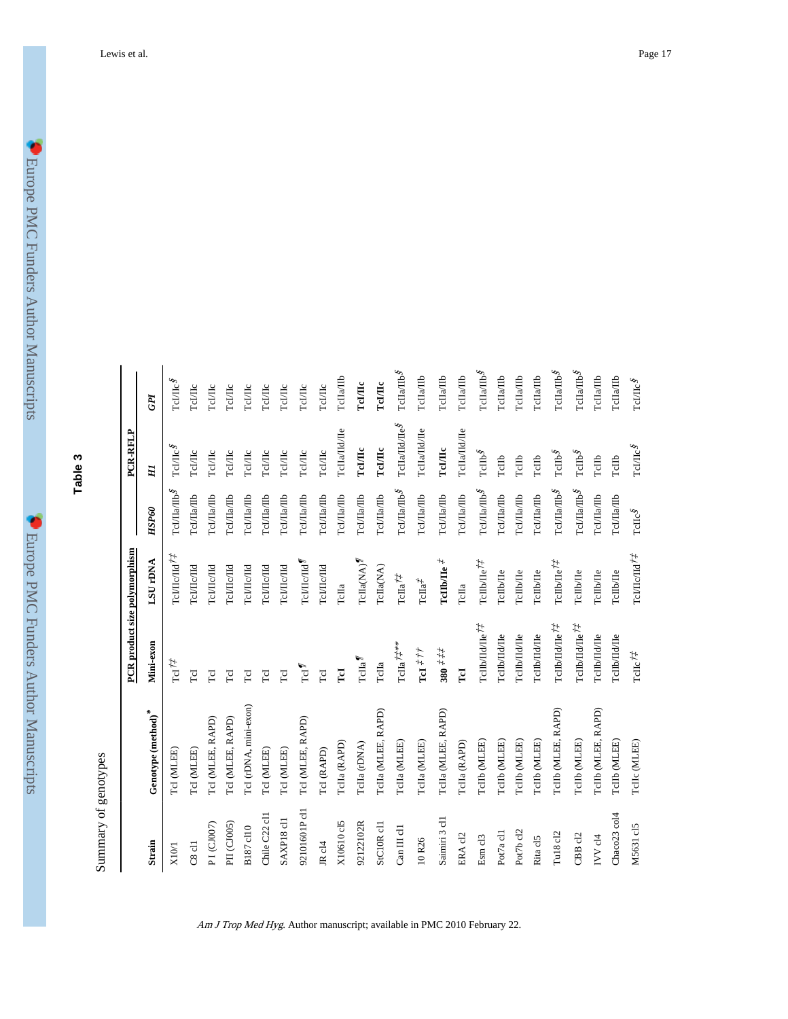**Table 3**

Summary of genotypes Summary of genotypes

|                        |                                | PCR product size polymorphism                                          |                                                    |                                                                                           | PCR-RFLP                                                             |                                                      |
|------------------------|--------------------------------|------------------------------------------------------------------------|----------------------------------------------------|-------------------------------------------------------------------------------------------|----------------------------------------------------------------------|------------------------------------------------------|
| Strain                 | Genotype $(\mathrm{method})^*$ | Mini-exon                                                              | LSU <sub>r</sub> DNA                               | HSP60                                                                                     | Η                                                                    | GPI                                                  |
| X10/1                  | TeI (MLEE)                     | $\mathrm{Tr} \mathrm{I}^{\dagger}$                                     | ГеИ<br>Е/Пе<br>$\hbar\tau$                         | TcI/IIa/IIb <sup>g</sup>                                                                  | $\mathrm{Tc} \mathrm{J} \mathrm{I} \mathrm{L} \mathrm{c}^\textit{S}$ | $\mathrm{r}\mathrm{e}\mathrm{m}\mathrm{e}\mathrm{s}$ |
| $C8$ cll               | TeI (MLEE)                     | LoI                                                                    | геицель                                            | <b>Tcl/Ha/Hb</b>                                                                          | $_{\rm Td/IC}$                                                       | TelAIc                                               |
| PI(CJ007)              | TcI (MLEE, RAPD)               | TсI                                                                    | <b>TcL/ILc/IId</b>                                 | Tcl/IIa/IIb                                                                               | TcI/IIc                                                              | TelAIc                                               |
| PII (CJ005)            | TcI (MLEE, RAPD)               | ГcI                                                                    | теглелы                                            | Tcl/IIa/IIb                                                                               | $_{\rm Td/HC}$                                                       | Tel/IIc                                              |
| B187 cl10              | TcI (rDNA, mini-exon)          | ToI                                                                    | TcMIC/Id                                           | Tcl/IIa/IIb                                                                               | Tel/IIc                                                              | ТеИПс                                                |
| Chile C22 cl1          | TcI (MLEE)                     | ГcI                                                                    | Tel/IIc/IId                                        | Tcl/IIa/IIb                                                                               | TcL/IIc                                                              | TeLIIc                                               |
| SAXP <sub>18</sub> cl1 | TcI (MLEE)                     | ToI                                                                    | телисла                                            | Tcl/IIa/IIb                                                                               | Tcl/IIc                                                              | Tel/IIc                                              |
| 92101601Pc11           | TcI (MLEE, RAPD)               | TcI $^{\prime\prime}$                                                  | тсицсла <sup>¶</sup>                               | Tcl/IIa/IIb                                                                               | Tcl/IIc                                                              | ТсІЛІс                                               |
| JR cl <sub>4</sub>     | TcI (RAPD)                     | ToI                                                                    | телисла                                            | Tcl/IIa/IIb                                                                               | $_{\rm Td/IIc}$                                                      | ТеИПс                                                |
| X10610 cl5             | TcIIa (RAPD)                   | Гd                                                                     | ТсПа                                               | TcI/IIa/IIb                                                                               | TcIIa/IId/Ile                                                        | TcHa/IIb                                             |
| 92122102R              | TcIIa (rDNA)                   | $TcIIa^T$                                                              | TcHa(NA)                                           | ТсІ/Па/Пь                                                                                 | TeI/IIc                                                              | TeI/IIc                                              |
| StC10R <sub>c11</sub>  | TcIIa (MLEE, RAPD)             | TcIIa                                                                  | TcIIa(NA)                                          | Tcl/IIa/IIb                                                                               | TeI/IIc                                                              | Tel/IIc                                              |
| Can III cl1            | TcIIa (MLEE)                   | $\mathrm{TcHa}^{\mathcal{I}^{***}_{\mathcal{K}}}$                      | $\mathrm{TcHa}^{ \dagger \dagger}$                 | ${\tt Tc} {\tt I} {\tt I}{\tt I}{\tt I}{\tt I}{\tt I}{\tt I}{\tt I}{\tt I}{\tt I}{\tt I}$ | $\operatorname{TeIaHdHe}\nolimits^{\mathcal{S}}$                     | $\mathrm{TcHaTb}^{\mathcal{S}}$                      |
| 10R26                  | TcIIa (MLEE)                   | т<br>а $\it \ddot \tau \, \dot \tau \, \dot \tau$                      | $\mathrm{T}\mathrm{c}\mathrm{IIa}^{\mathcal{T}}$   | Tcl/IIa/IIb                                                                               | TcIIa/IId/IIe                                                        | <b>TcHa/IIb</b>                                      |
| Saimiri 3 cl1          | TcIIa (MLEE, RAPD)             | $380\; \overset{r}{\star}\; \overset{r}{\star}\; \overset{r}{\star}\;$ | ТсП<br>b/Пе $\vec{t}$                              | Tcl/IIa/IIb                                                                               | TeITIe                                                               | <b>TcHa/IIb</b>                                      |
| ERA cl2                | TcIIa (RAPD)                   | $\overline{\mathbf{L}}$                                                | ТсПа                                               | Tcl/IIa/IIb                                                                               | rcIIa/IId/Ie                                                         | $\rm TcHaTb$                                         |
| Esm c13                | TcIIb (MLEE)                   | те<br>Пь/Па/Пе $\ddot{r}\dot{\ddot{r}}$                                | TcIb/Ile <sup>7</sup>                              | TcLTlaATb <sup>g</sup>                                                                    | TcIIb <sup>g</sup>                                                   | TcIIa/IIb <sup>g</sup>                               |
| Pot7a cl1              | Tellb (MLEE)                   | гепьлыле                                                               | тспыле                                             | TcI/IIa/IIb                                                                               | TcIIb                                                                | TcIIa/IIb                                            |
| Pot7b cl2              | Tellb (MLEE)                   | геньдиде                                                               | тспыле                                             | TcI/IIa/IIb                                                                               | TcIIb                                                                | <b>TcHa/IIb</b>                                      |
| Rita cl5               | TeIIb (MLEE)                   | тепьдиле                                                               | ТсПЫЛе                                             | Tcl/IIa/IIb                                                                               | $_{\rm TdIb}$                                                        | <b>TcHa/IIb</b>                                      |
| Tu18 cl2               | TcIIb (MLEE, RAPD)             | те<br>ПЬ/Па/Пе $\ensuremath{^\star\!}\xspace^{\star}$                  | TcIIb/Ie $7\ddagger$                               | $TcI/IIa/IIb^{\delta}$                                                                    | $\ensuremath{\mathrm{Tclb}}^g$                                       | $\mathrm{TcHaTb}^{\mathcal{S}}$                      |
| CBB <sub>cl2</sub>     | TcIIb (MLEE)                   | тс<br>ПЬ/Па/Пе $\ensuremath{^\star\!}\xspace^\star$                    | TcHb/He                                            | TcI/IIa/IIb <sup>g</sup>                                                                  | $\mathrm{T}\mathrm{c}\mathrm{I}\mathrm{I}\mathrm{b}^{\mathcal{S}}$   | TcIIa/IIb <sup>g</sup>                               |
| IVV cl4                | TcIIb (MLEE, RAPD)             | тепьдиле                                                               | TcID <sub>2</sub> IIe                              | Tcl/IIa/IIb                                                                               | TcIIb                                                                | TcHa/IIb                                             |
| Chaco23 col4           | TeIIb (MLEE)                   | геньдиде                                                               | $TcHb/He$                                          | Tcl/IIa/IIb                                                                               | TcIIb                                                                | TcIIa/IIb                                            |
| M5631 cl5              | Telle (MLEE)                   | $\mathrm{TcHc}^{\dagger\ddagger}$                                      | Тс<br>ИПс/Па $\ensuremath{^\star\!}^{\mathcal{I}}$ | $\mathrm{TcH}c^{S}$                                                                       | $\mathrm{r}\mathrm{d}\mathrm{m}\mathrm{c}\mathrm{s}$                 | $\mbox{{\sc Trib}}^{\mathcal S}$                     |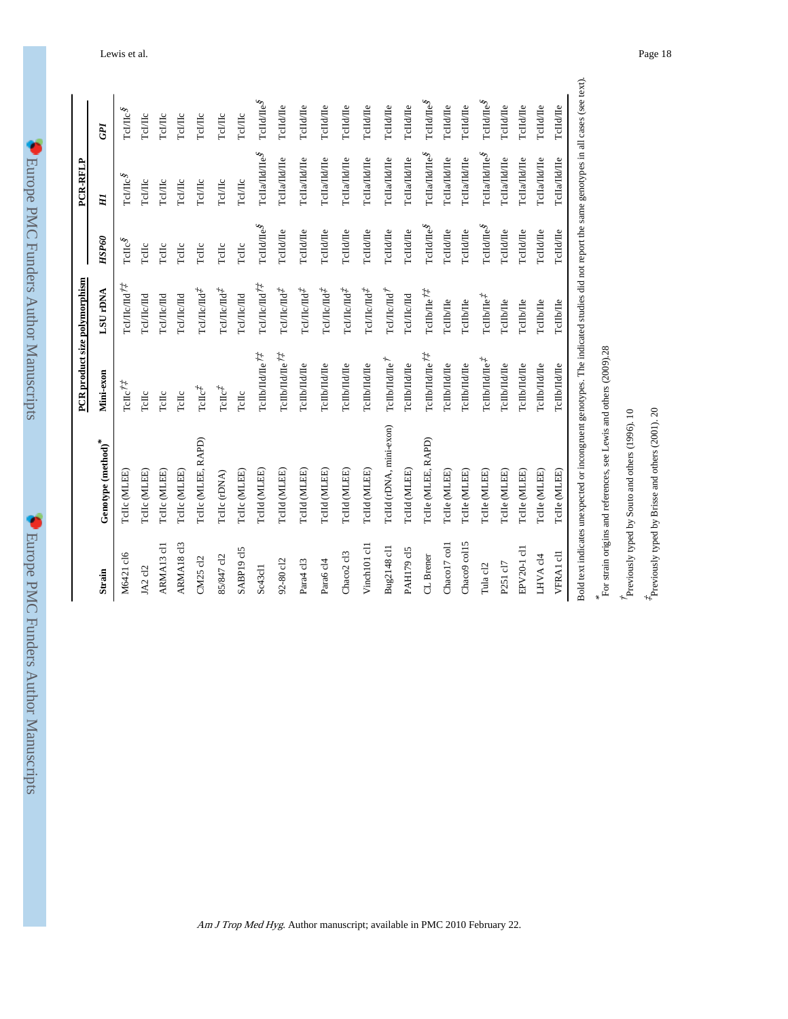| <b>Service Service</b> | i<br>l                                                                                                                                                                                                                                                                                                                                                                                                                          |  |
|------------------------|---------------------------------------------------------------------------------------------------------------------------------------------------------------------------------------------------------------------------------------------------------------------------------------------------------------------------------------------------------------------------------------------------------------------------------|--|
|                        | l<br>ļ<br>$\begin{array}{c} \hline \rule{0pt}{2ex} \rule{0pt}{2ex} \rule{0pt}{2ex} \rule{0pt}{2ex} \rule{0pt}{2ex} \rule{0pt}{2ex} \rule{0pt}{2ex} \rule{0pt}{2ex} \rule{0pt}{2ex} \rule{0pt}{2ex} \rule{0pt}{2ex} \rule{0pt}{2ex} \rule{0pt}{2ex} \rule{0pt}{2ex} \rule{0pt}{2ex} \rule{0pt}{2ex} \rule{0pt}{2ex} \rule{0pt}{2ex} \rule{0pt}{2ex} \rule{0pt}{2ex} \rule{0pt}{2ex} \rule{0pt}{2ex} \rule{0pt}{2ex} \rule{$<br>Į |  |
|                        | l                                                                                                                                                                                                                                                                                                                                                                                                                               |  |
|                        | <b>D</b><br><br><br><br><br><br><br><br><br><br><br><br>                                                                                                                                                                                                                                                                                                                                                                        |  |
|                        | ハー・・・ しゅうしゅうく イート                                                                                                                                                                                                                                                                                                                                                                                                               |  |
|                        | ١<br>i<br>i                                                                                                                                                                                                                                                                                                                                                                                                                     |  |
|                        |                                                                                                                                                                                                                                                                                                                                                                                                                                 |  |
|                        |                                                                                                                                                                                                                                                                                                                                                                                                                                 |  |
|                        |                                                                                                                                                                                                                                                                                                                                                                                                                                 |  |
|                        |                                                                                                                                                                                                                                                                                                                                                                                                                                 |  |
|                        | j<br><b>C</b>                                                                                                                                                                                                                                                                                                                                                                                                                   |  |
|                        |                                                                                                                                                                                                                                                                                                                                                                                                                                 |  |
|                        | $\frac{1}{2}$<br>$\frac{1}{2}$                                                                                                                                                                                                                                                                                                                                                                                                  |  |
|                        | $\frac{1}{2}$                                                                                                                                                                                                                                                                                                                                                                                                                   |  |
|                        |                                                                                                                                                                                                                                                                                                                                                                                                                                 |  |
|                        | 化电子 计自动程序化                                                                                                                                                                                                                                                                                                                                                                                                                      |  |
|                        |                                                                                                                                                                                                                                                                                                                                                                                                                                 |  |
|                        | <b>MATANALI</b><br>PTC                                                                                                                                                                                                                                                                                                                                                                                                          |  |

| ı                                        |  |
|------------------------------------------|--|
| j<br>E<br>F<br>ζ<br>n,                   |  |
| z<br>₹                                   |  |
| ן<br>מוז<br>ï<br>ă<br>$\check{\epsilon}$ |  |
| ľ                                        |  |
| d<br>١<br>٠<br>Þ<br>Ï                    |  |

|                                    |                                                                                                                                           | PCR product size polymorphism        |                                                            |                                                                     | PCR-RFLP                                                         |                                       |
|------------------------------------|-------------------------------------------------------------------------------------------------------------------------------------------|--------------------------------------|------------------------------------------------------------|---------------------------------------------------------------------|------------------------------------------------------------------|---------------------------------------|
| Strain                             | Genotype ${\rm (method)}^*$                                                                                                               | Mini-exon                            | LSU <sub>rDNA</sub>                                        | HSP60                                                               | H                                                                | GPI                                   |
| M6421 cl6                          | TeIIc (MLEE)                                                                                                                              | $\mathrm{TcHc}^{\dagger\ddagger}$    | ТсІЛІсЛІ $i^{\dagger}$                                     | $\mathrm{Tclic}^g$                                                  | $\mathrm{TCIME}^g$                                               | $\mathrm{TCHE}^{\mathcal{S}}$         |
| JA2 cl2                            | Telle (MLEE)                                                                                                                              | Telle                                | геі/Пе/Па                                                  | TcHc                                                                | ТсІЛІс                                                           | ТсИПс                                 |
| ARMA <sub>13</sub> cl1             | Telle (MLEE)                                                                                                                              | Telle                                | теллелы                                                    | Telle                                                               | TeMIc                                                            | ТеИПс                                 |
| ARMA18 c13                         | Telle (MLEE)                                                                                                                              | $TcHc$                               | TcI/IIc/IId                                                | Telle                                                               | ТсІЛІс                                                           | ТсИІс                                 |
| CM25 cl2                           | TcIIc (MLEE, RAPD)                                                                                                                        | $\mathrm{TcHc}^{\ddagger}$           | TcIIIc/Id <sup>2</sup>                                     | Telle                                                               | TeMIc                                                            | ТсИПс                                 |
| 85/847 c12                         | TeIIc (rDNA)                                                                                                                              | $\mathrm{TcHc}^{\ddagger}$           | ТсІЛІс∕Па <sup>‡</sup>                                     | Telle                                                               | ТсІЛІс                                                           | $_{\rm Tc/ILc}$                       |
| SABP19 cl5                         | Telle (MLEE)                                                                                                                              | TcIIc                                | теллелы                                                    | TcIIc                                                               | ТсІЛІс                                                           | $_{\rm Tc/IIc}$                       |
| Sc43c11                            | TeIId (MLEE)                                                                                                                              | те<br>Ib/Ha/He $^{\prime\prime}$     | ТсІЛісЛі $i^{\dagger}$                                     | $\mbox{TcId} \Delta \mbox{T} \mbox{e}^{\delta}$                     | TclIa/TIdTEs                                                     | $\operatorname{TendHe}^g$             |
| 92-80 cl2                          | TeIId (MLEE)                                                                                                                              | те<br>Ib/Ha/He $71$                  | $\Gamma$ с<br>.<br>Подр $\Gamma$                           | TcIId/IIe                                                           | TcIIa/IId/IIe                                                    | TcIId/IIe                             |
| Para4 c13                          | Telld (MLEE)                                                                                                                              | гепь/па/пе                           | TcIIIc/Id <sup>f</sup>                                     | TcIId/IIe                                                           | ТсПа/Пd/Пе                                                       | TcIId/Ile                             |
| Para6 c14                          | TcIId (MLEE)                                                                                                                              | геньдале                             | $\Gamma$ с<br>.<br>Посла $\vec{t}$                         | TcIId/IIe                                                           | TcIIa/IId/IIe                                                    | TcIId/IIe                             |
| Chaco <sub>2</sub> c <sub>13</sub> | TcIId (MLEE)                                                                                                                              | гепьдаде                             | ${\tt Tc} {\tt I\rm I\rm I\rm C} {\tt I\rm I\rm I\rm I}^T$ | TcIId/IIe                                                           | TcIIa/IId/IIe                                                    | TcIId/Ile                             |
| Vinch101 cl1                       | TeIId (MLEE)                                                                                                                              | гепьдаде                             | $\Gamma$ с<br>.<br>Подр $\Gamma$                           | TcIId/IIe                                                           | TcIIa/IId/IIe                                                    | TcIId/Ile                             |
| Bug2148 cl1                        | TeIId (rDNA, mini-exon)                                                                                                                   | Тс<br>Ш<br>b/Ha/He $^\dagger$        | ТсІ/Пс/Па <sup>†</sup>                                     | TcIId/Te                                                            | ТсПа/Пd/Пе                                                       | TcIId/Ile                             |
| PAH179 cl5                         | TeIId (MLEE)                                                                                                                              | гень/па/пе                           | геі/Пе/Па                                                  | TcIId/IIe                                                           | TcIIa/IId/IIe                                                    | TcIId/Ile                             |
| CL Brener                          | TcIle (MLEE, RAPD)                                                                                                                        | те<br>Ib/Ha/He $^{\prime\prime}$     | $\mbox{TcID/He}\,{}^{\!\uparrow\downarrow}$                | $\mbox{TcId} \mbox{I\hspace{-1pt}I} \mbox{e}^{\displaystyle \oint}$ | $\mbox{{\sc Tcla}}\mbox{{\sc Talb}}\mbox{{\sc Telb}}^s$          | $\operatorname{TendHe}^g$             |
| Chaco17 col1                       | TcIIe (MLEE)                                                                                                                              | гепьда/Пе                            | TcIIb/Ile                                                  | TcIId/IIe                                                           | TcIIa/IId/IIe                                                    | TcIId/Ile                             |
| Chaco9 col15                       | TcIle (MLEE)                                                                                                                              | геньдадте                            | TcIlb/Ile                                                  | TcIId/IIe                                                           | TcIIa/IId/IIe                                                    | TcIId/Ie                              |
| Tula cl2                           | TcIIe (MLEE)                                                                                                                              | $T$ сШb/ $T$ а/ $T$ е $\overline{t}$ | $\mbox{TcID/He}^{\mathcal{I}}$                             | $\mathrm{TcId}\mathrm{T}\mathrm{He}^{\oint}$                        | $\mbox{{\sc Tcl}}\mbox{{\sc And}}\mbox{{\sc The}}\mbox{{\sc S}}$ | $\operatorname{TendHe}^{\mathcal{S}}$ |
| P251 cl7                           | TcIIe (MLEE)                                                                                                                              | геньдале                             | TcIlb/Ile                                                  | TcIId/He                                                            | TcIIa/IId/IIe                                                    | TcIId/Ile                             |
| EPV20-1 c11                        | TcIIe (MLEE)                                                                                                                              | гепьда/Пе                            | <b>TcIIb/Ile</b>                                           | TcIId/IIe                                                           | ТсПа/Пd/Пе                                                       | TcIId/Ile                             |
| LHVA c14                           | TcIIe (MLEE)                                                                                                                              | тепьлале                             | TcIIb/IIe                                                  | TcIId/IIe                                                           | TcIIa/IId/IIe                                                    | TcIId/Ile                             |
| VFRA1 c11                          | TcIle (MLEE)                                                                                                                              | <b>Г</b> еПЬ/Пd/Пе                   | TcIlb/Ile                                                  | TcIId/IIe                                                           | TcIIa/IId/IIe                                                    | TcIId/Ile                             |
|                                    | Bold text indicates unexpected or incongruent genotypes. The indicated studies did not report the same genotypes in all cases (see text). |                                      |                                                            |                                                                     |                                                                  |                                       |

Am J Trop Med Hyg. Author manuscript; available in PMC 2010 February 22.

 $\frac{*}{\rm F}$  or strain origins and references, see Lewis and others (2009).28 For strain origins and references, see Lewis and others (2009).28

 $\acute{\tau}$  previously typed by Souto and others (1996). 10 Previously typed by Souto and others (1996). 10  $*$  Previously typed by Brisse and others (2001). 20

 $^{\not{x}}$  Previously typed by Brisse and others (2001). 20